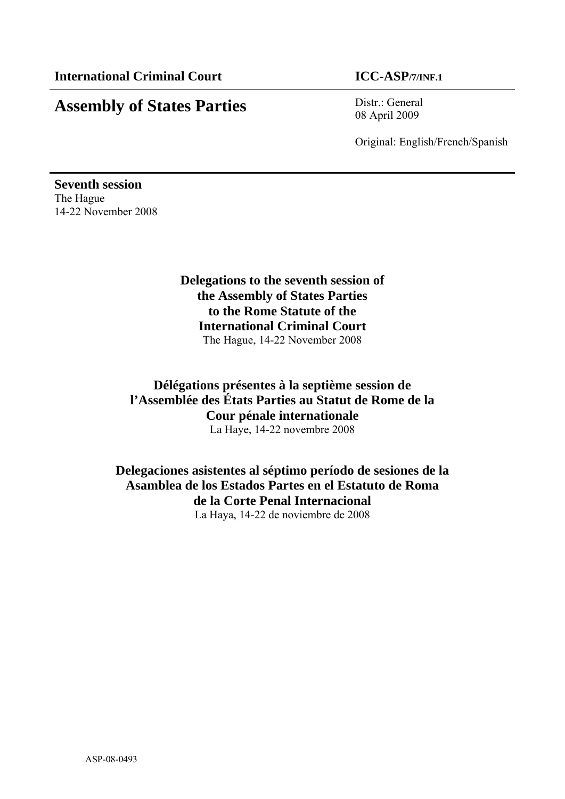# **Assembly of States Parties** Distr.: General

08 April 2009

Original: English/French/Spanish

**Seventh session**  The Hague 14-22 November 2008

> **Delegations to the seventh session of the Assembly of States Parties to the Rome Statute of the International Criminal Court**  The Hague, 14-22 November 2008

**Délégations présentes à la septième session de l'Assemblée des États Parties au Statut de Rome de la Cour pénale internationale**  La Haye, 14-22 novembre 2008

**Delegaciones asistentes al séptimo período de sesiones de la Asamblea de los Estados Partes en el Estatuto de Roma de la Corte Penal Internacional**  La Haya, 14-22 de noviembre de 2008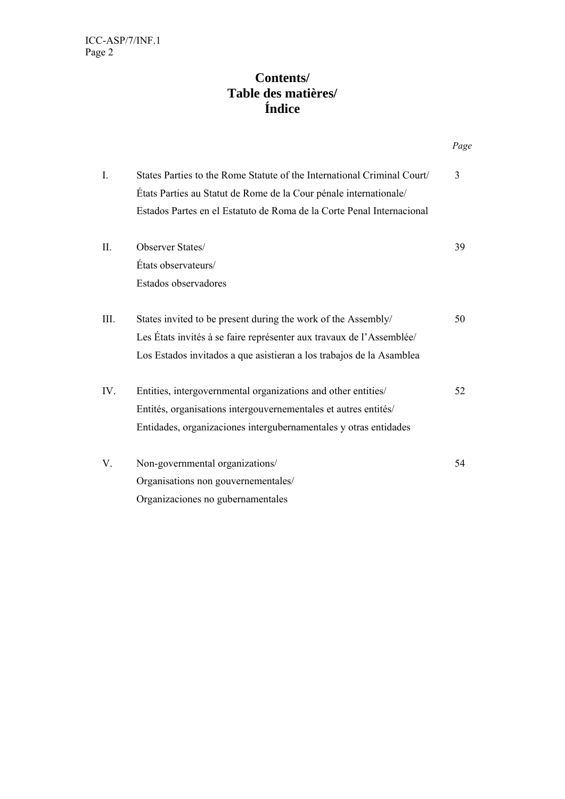# **Contents/ Table des matières/ Índice**

|  |                |                                                                                                                                              | Page |
|--|----------------|----------------------------------------------------------------------------------------------------------------------------------------------|------|
|  | $\mathbf{I}$ . | States Parties to the Rome Statute of the International Criminal Court/<br>États Parties au Statut de Rome de la Cour pénale internationale/ | 3    |
|  |                | Estados Partes en el Estatuto de Roma de la Corte Penal Internacional                                                                        |      |
|  | П.             | Observer States/                                                                                                                             | 39   |
|  |                | États observateurs/                                                                                                                          |      |
|  |                | Estados observadores                                                                                                                         |      |
|  | III.           | States invited to be present during the work of the Assembly/                                                                                | 50   |
|  |                | Les États invités à se faire représenter aux travaux de l'Assemblée/                                                                         |      |
|  |                | Los Estados invitados a que asistieran a los trabajos de la Asamblea                                                                         |      |
|  | IV.            | Entities, intergovernmental organizations and other entities/                                                                                | 52   |
|  |                | Entités, organisations intergouvernementales et autres entités/                                                                              |      |
|  |                | Entidades, organizaciones intergubernamentales y otras entidades                                                                             |      |
|  | V.             | Non-governmental organizations/                                                                                                              | 54   |
|  |                | Organisations non gouvernementales/                                                                                                          |      |
|  |                | Organizaciones no gubernamentales                                                                                                            |      |
|  |                |                                                                                                                                              |      |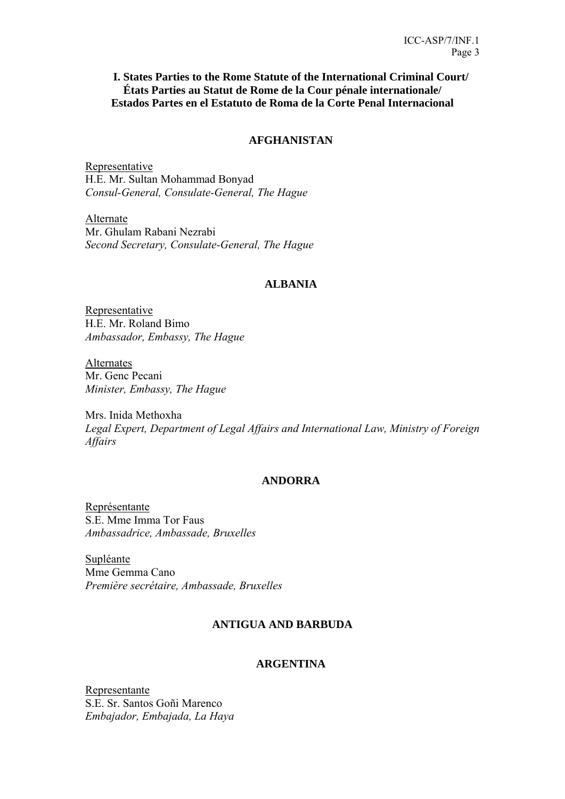# **I. States Parties to the Rome Statute of the International Criminal Court/ États Parties au Statut de Rome de la Cour pénale internationale/ Estados Partes en el Estatuto de Roma de la Corte Penal Internacional**

# **AFGHANISTAN**

Representative H.E. Mr. Sultan Mohammad Bonyad *Consul-General, Consulate-General, The Hague* 

Alternate Mr. Ghulam Rabani Nezrabi *Second Secretary, Consulate-General, The Hague* 

# **ALBANIA**

Representative H.E. Mr. Roland Bimo *Ambassador, Embassy, The Hague* 

Alternates Mr. Genc Pecani *Minister, Embassy, The Hague* 

Mrs. Inida Methoxha *Legal Expert, Department of Legal Affairs and International Law, Ministry of Foreign Affairs* 

# **ANDORRA**

Représentante S.E. Mme Imma Tor Faus *Ambassadrice, Ambassade, Bruxelles* 

Supléante Mme Gemma Cano *Première secrétaire, Ambassade, Bruxelles* 

# **ANTIGUA AND BARBUDA**

### **ARGENTINA**

Representante S.E. Sr. Santos Goñi Marenco *Embajador, Embajada, La Haya*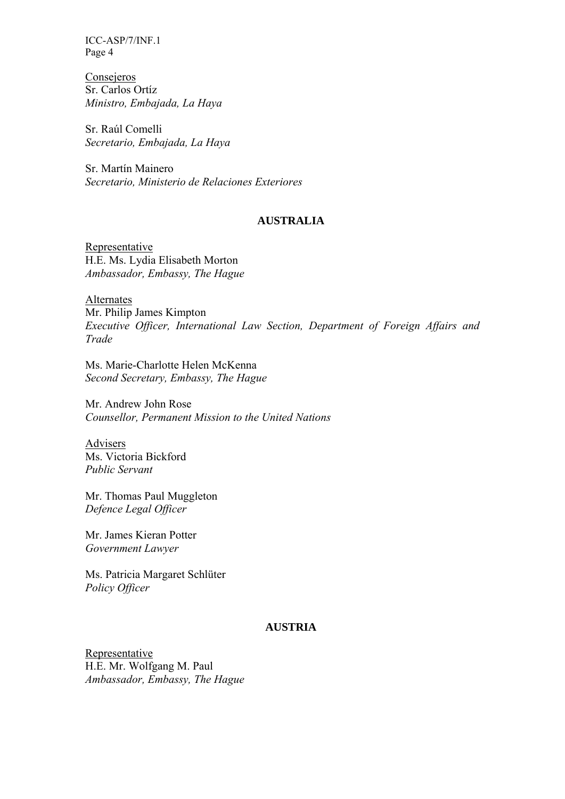Consejeros Sr. Carlos Ortíz *Ministro, Embajada, La Haya* 

Sr. Raúl Comelli *Secretario, Embajada, La Haya* 

Sr. Martín Mainero *Secretario, Ministerio de Relaciones Exteriores* 

### **AUSTRALIA**

Representative H.E. Ms. Lydia Elisabeth Morton *Ambassador, Embassy, The Hague* 

Alternates Mr. Philip James Kimpton *Executive Officer, International Law Section, Department of Foreign Affairs and Trade* 

Ms. Marie-Charlotte Helen McKenna *Second Secretary, Embassy, The Hague* 

Mr. Andrew John Rose *Counsellor, Permanent Mission to the United Nations* 

Advisers Ms. Victoria Bickford *Public Servant* 

Mr. Thomas Paul Muggleton *Defence Legal Officer* 

Mr. James Kieran Potter *Government Lawyer* 

Ms. Patricia Margaret Schlüter *Policy Officer* 

# **AUSTRIA**

Representative H.E. Mr. Wolfgang M. Paul *Ambassador, Embassy, The Hague*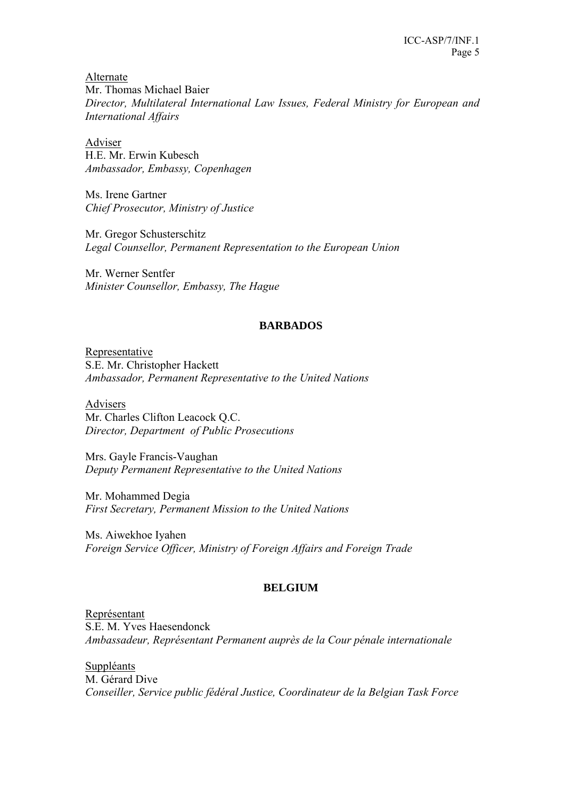Alternate Mr. Thomas Michael Baier *Director, Multilateral International Law Issues, Federal Ministry for European and International Affairs* 

Adviser H.E. Mr. Erwin Kubesch *Ambassador, Embassy, Copenhagen*

Ms. Irene Gartner *Chief Prosecutor, Ministry of Justice* 

Mr. Gregor Schusterschitz *Legal Counsellor, Permanent Representation to the European Union* 

Mr. Werner Sentfer *Minister Counsellor, Embassy, The Hague* 

# **BARBADOS**

Representative S.E. Mr. Christopher Hackett *Ambassador, Permanent Representative to the United Nations* 

Advisers Mr. Charles Clifton Leacock Q.C. *Director, Department of Public Prosecutions* 

Mrs. Gayle Francis-Vaughan *Deputy Permanent Representative to the United Nations* 

Mr. Mohammed Degia *First Secretary, Permanent Mission to the United Nations* 

Ms. Aiwekhoe Iyahen *Foreign Service Officer, Ministry of Foreign Affairs and Foreign Trade* 

# **BELGIUM**

Représentant S.E. M. Yves Haesendonck *Ambassadeur, Représentant Permanent auprès de la Cour pénale internationale* 

**Suppléants** M. Gérard Dive *Conseiller, Service public fédéral Justice, Coordinateur de la Belgian Task Force*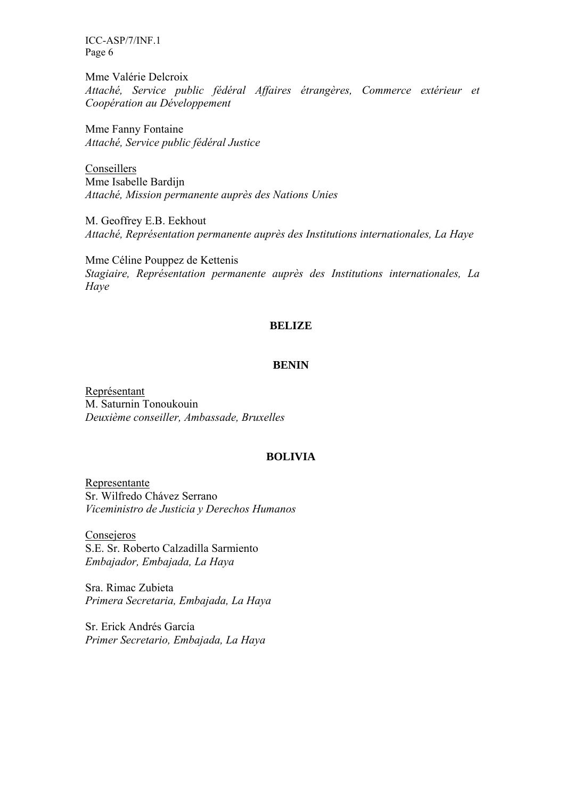Mme Valérie Delcroix *Attaché, Service public fédéral Affaires étrangères, Commerce extérieur et Coopération au Développement* 

Mme Fanny Fontaine *Attaché, Service public fédéral Justice* 

Conseillers Mme Isabelle Bardijn *Attaché, Mission permanente auprès des Nations Unies* 

M. Geoffrey E.B. Eekhout *Attaché, Représentation permanente auprès des Institutions internationales, La Haye* 

Mme Céline Pouppez de Kettenis *Stagiaire, Représentation permanente auprès des Institutions internationales, La Haye* 

#### **BELIZE**

#### **BENIN**

Représentant M. Saturnin Tonoukouin *Deuxième conseiller, Ambassade, Bruxelles* 

### **BOLIVIA**

Representante Sr. Wilfredo Chávez Serrano *Viceministro de Justicia y Derechos Humanos* 

Consejeros S.E. Sr. Roberto Calzadilla Sarmiento *Embajador, Embajada, La Haya* 

Sra. Rimac Zubieta *Primera Secretaria, Embajada, La Haya* 

Sr. Erick Andrés García *Primer Secretario, Embajada, La Haya*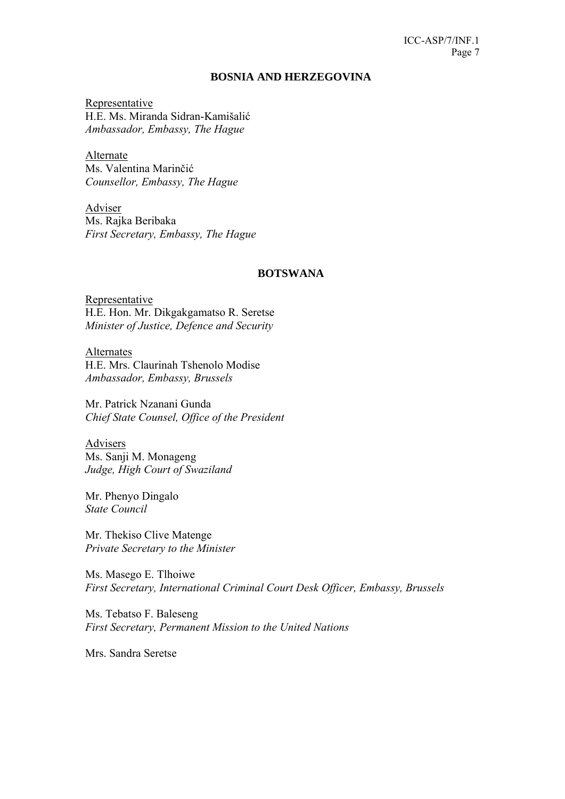#### **BOSNIA AND HERZEGOVINA**

Representative H.E. Ms. Miranda Sidran-Kamišalić *Ambassador, Embassy, The Hague* 

Alternate Ms. Valentina Marinčić *Counsellor, Embassy, The Hague* 

Adviser Ms. Rajka Beribaka *First Secretary, Embassy, The Hague* 

#### **BOTSWANA**

Representative H.E. Hon. Mr. Dikgakgamatso R. Seretse *Minister of Justice, Defence and Security* 

Alternates H.E. Mrs. Claurinah Tshenolo Modise *Ambassador, Embassy, Brussels* 

Mr. Patrick Nzanani Gunda *Chief State Counsel, Office of the President* 

Advisers Ms. Sanji M. Monageng *Judge, High Court of Swaziland* 

Mr. Phenyo Dingalo *State Council* 

Mr. Thekiso Clive Matenge *Private Secretary to the Minister* 

Ms. Masego E. Tlhoiwe *First Secretary, International Criminal Court Desk Officer, Embassy, Brussels* 

Ms. Tebatso F. Baleseng *First Secretary, Permanent Mission to the United Nations* 

Mrs. Sandra Seretse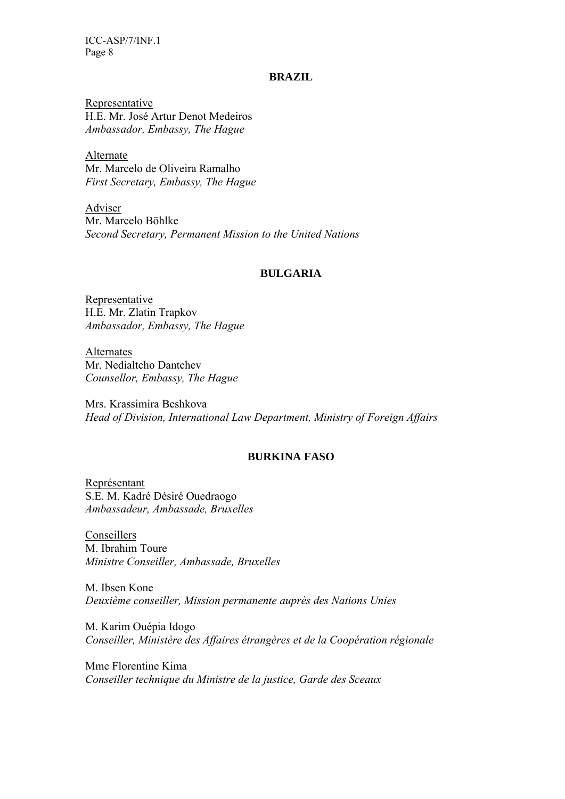#### **BRAZIL**

Representative H.E. Mr. José Artur Denot Medeiros *Ambassador, Embassy, The Hague* 

Alternate Mr. Marcelo de Oliveira Ramalho *First Secretary, Embassy, The Hague* 

Adviser Mr. Marcelo Böhlke *Second Secretary, Permanent Mission to the United Nations* 

### **BULGARIA**

Representative H.E. Mr. Zlatin Trapkov *Ambassador, Embassy, The Hague* 

Alternates Mr. Nedialtcho Dantchev *Counsellor, Embassy, The Hague* 

Mrs. Krassimira Beshkova *Head of Division, International Law Department, Ministry of Foreign Affairs* 

# **BURKINA FASO**

Représentant S.E. M. Kadré Désiré Ouedraogo *Ambassadeur, Ambassade, Bruxelles* 

Conseillers M. Ibrahim Toure *Ministre Conseiller, Ambassade, Bruxelles* 

M. Ibsen Kone *Deuxième conseiller, Mission permanente auprès des Nations Unies* 

M. Karim Ouépia Idogo *Conseiller, Ministère des Affaires étrangères et de la Coopération régionale* 

Mme Florentine Kima *Conseiller technique du Ministre de la justice, Garde des Sceaux*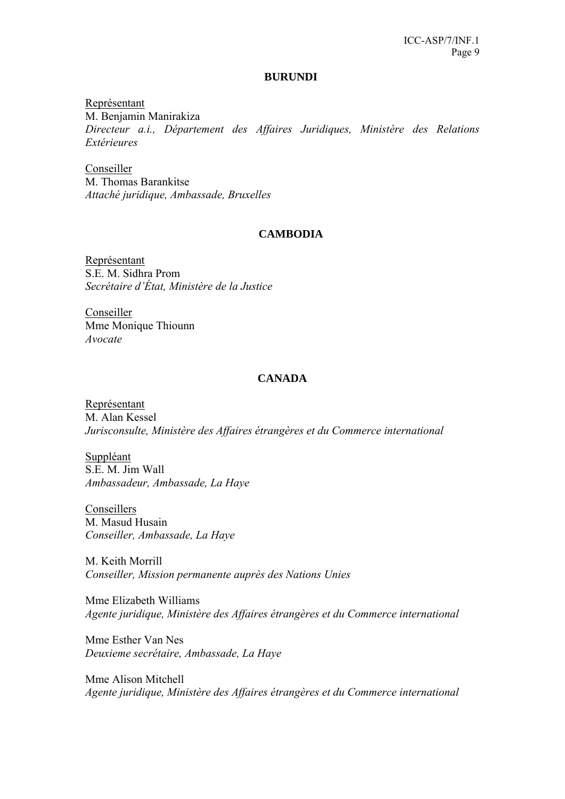#### **BURUNDI**

Représentant M. Benjamin Manirakiza *Directeur a.i., Département des Affaires Juridiques, Ministère des Relations Extérieures* 

Conseiller M. Thomas Barankitse *Attaché juridique, Ambassade, Bruxelles* 

# **CAMBODIA**

Représentant S.E. M. Sidhra Prom *Secrétaire d'État, Ministère de la Justice* 

Conseiller Mme Monique Thiounn *Avocate* 

### **CANADA**

Représentant M. Alan Kessel *Jurisconsulte, Ministère des Affaires étrangères et du Commerce international* 

Suppléant S.E. M. Jim Wall *Ambassadeur, Ambassade, La Haye* 

Conseillers M. Masud Husain *Conseiller, Ambassade, La Haye* 

M. Keith Morrill *Conseiller, Mission permanente auprès des Nations Unies* 

Mme Elizabeth Williams *Agente juridique, Ministère des Affaires étrangères et du Commerce international* 

Mme Esther Van Nes *Deuxieme secrétaire, Ambassade, La Haye* 

Mme Alison Mitchell *Agente juridique, Ministère des Affaires étrangères et du Commerce international*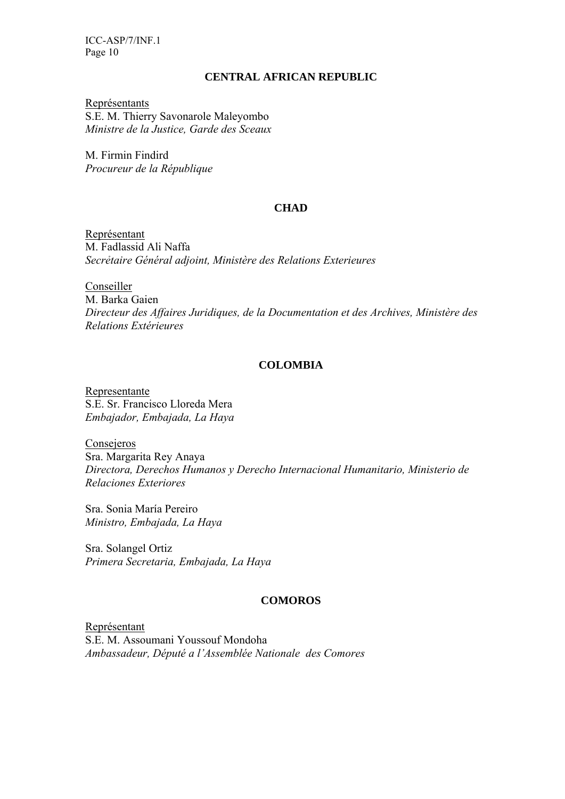### **CENTRAL AFRICAN REPUBLIC**

Représentants S.E. M. Thierry Savonarole Maleyombo *Ministre de la Justice, Garde des Sceaux* 

M. Firmin Findird *Procureur de la République* 

# **CHAD**

Représentant M. Fadlassid Ali Naffa *Secrẻtaire Général adjoint, Ministère des Relations Exterieures* 

Conseiller M. Barka Gaien *Directeur des Affaires Juridiques, de la Documentation et des Archives, Ministère des Relations Extérieures* 

# **COLOMBIA**

Representante S.E. Sr. Francisco Lloreda Mera *Embajador, Embajada, La Haya* 

Consejeros Sra. Margarita Rey Anaya *Directora, Derechos Humanos y Derecho Internacional Humanitario, Ministerio de Relaciones Exteriores* 

Sra. Sonia María Pereiro *Ministro, Embajada, La Haya* 

Sra. Solangel Ortiz *Primera Secretaria, Embajada, La Haya* 

# **COMOROS**

Représentant S.E. M. Assoumani Youssouf Mondoha *Ambassadeur, Député a l'Assemblée Nationale des Comores*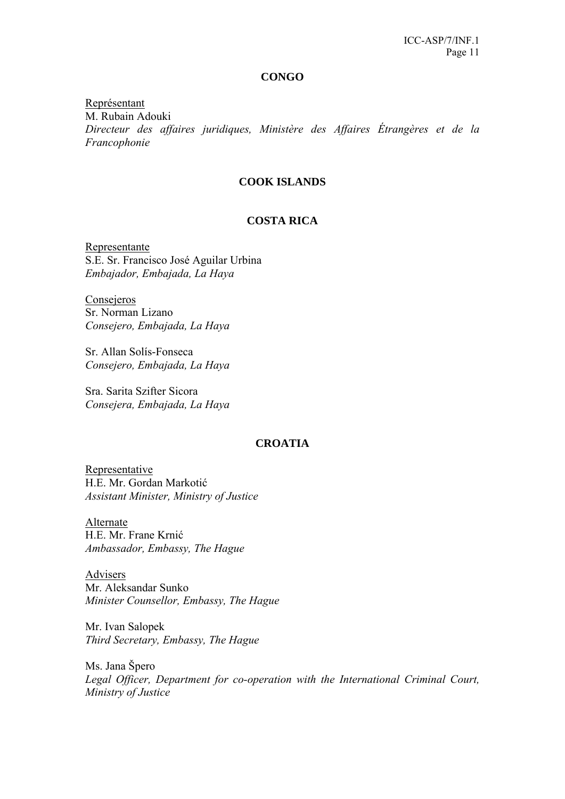#### **CONGO**

Représentant M. Rubain Adouki *Directeur des affaires juridiques, Ministère des Affaires Étrangères et de la Francophonie* 

### **COOK ISLANDS**

# **COSTA RICA**

Representante S.E. Sr. Francisco José Aguilar Urbina *Embajador, Embajada, La Haya* 

**Consejeros** Sr. Norman Lizano *Consejero, Embajada, La Haya*

Sr. Allan Solís-Fonseca *Consejero, Embajada, La Haya* 

Sra. Sarita Szifter Sicora *Consejera, Embajada, La Haya*

#### **CROATIA**

Representative H.E. Mr. Gordan Markotić *Assistant Minister, Ministry of Justice* 

Alternate H.E. Mr. Frane Krnić *Ambassador, Embassy, The Hague* 

Advisers Mr. Aleksandar Sunko *Minister Counsellor, Embassy, The Hague* 

Mr. Ivan Salopek *Third Secretary, Embassy, The Hague* 

Ms. Jana Špero *Legal Officer, Department for co-operation with the International Criminal Court, Ministry of Justice*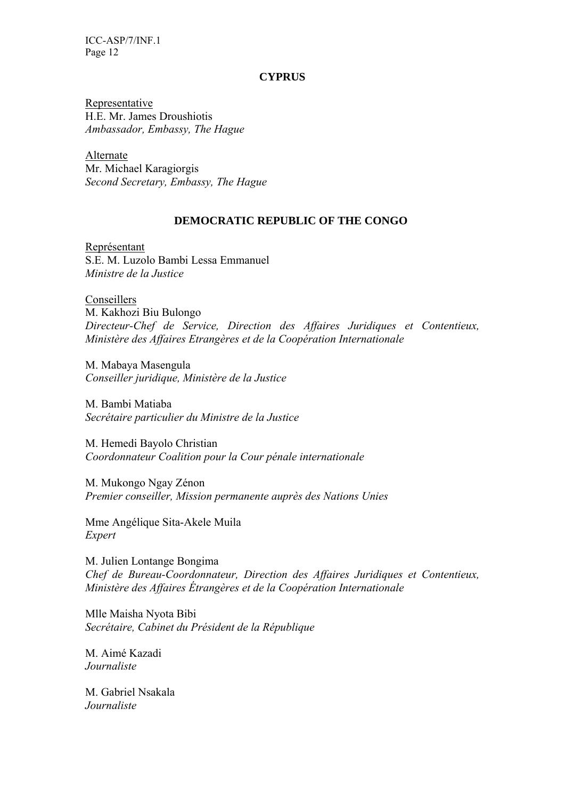#### **CYPRUS**

Representative H.E. Mr. James Droushiotis *Ambassador, Embassy, The Hague* 

Alternate Mr. Michael Karagiorgis *Second Secretary, Embassy, The Hague* 

### **DEMOCRATIC REPUBLIC OF THE CONGO**

Représentant S.E. M. Luzolo Bambi Lessa Emmanuel *Ministre de la Justice* 

Conseillers M. Kakhozi Biu Bulongo *Directeur-Chef de Service, Direction des Affaires Juridiques et Contentieux, Ministère des Affaires Etrangères et de la Coopération Internationale*

M. Mabaya Masengula *Conseiller juridique, Ministère de la Justice* 

M. Bambi Matiaba *Secrétaire particulier du Ministre de la Justice* 

M. Hemedi Bayolo Christian *Coordonnateur Coalition pour la Cour pénale internationale* 

M. Mukongo Ngay Zénon *Premier conseiller, Mission permanente auprès des Nations Unies* 

Mme Angélique Sita-Akele Muila *Expert* 

M. Julien Lontange Bongima *Chef de Bureau-Coordonnateur, Direction des Affaires Juridiques et Contentieux, Ministère des Affaires Étrangères et de la Coopération Internationale* 

Mlle Maisha Nyota Bibi *Secrétaire, Cabinet du Président de la République* 

M. Aimé Kazadi *Journaliste* 

M. Gabriel Nsakala *Journaliste*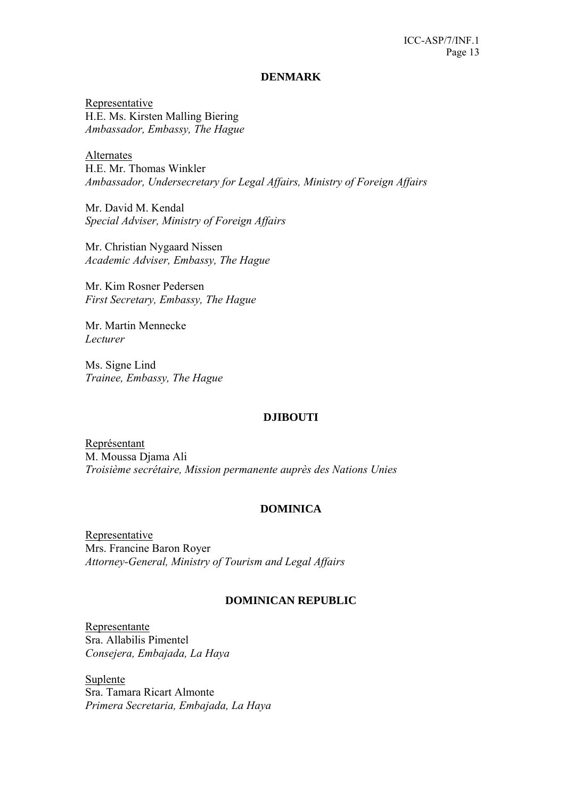#### **DENMARK**

Representative H.E. Ms. Kirsten Malling Biering *Ambassador, Embassy, The Hague* 

Alternates H.E. Mr. Thomas Winkler *Ambassador, Undersecretary for Legal Affairs, Ministry of Foreign Affairs* 

Mr. David M. Kendal *Special Adviser, Ministry of Foreign Affairs*

Mr. Christian Nygaard Nissen *Academic Adviser, Embassy, The Hague* 

Mr. Kim Rosner Pedersen *First Secretary, Embassy, The Hague* 

Mr. Martin Mennecke *Lecturer* 

Ms. Signe Lind *Trainee, Embassy, The Hague* 

#### **DJIBOUTI**

Représentant M. Moussa Djama Ali *Troisième secrétaire, Mission permanente auprès des Nations Unies* 

#### **DOMINICA**

Representative Mrs. Francine Baron Royer *Attorney-General, Ministry of Tourism and Legal Affairs* 

#### **DOMINICAN REPUBLIC**

Representante Sra. Allabilis Pimentel *Consejera, Embajada, La Haya* 

Suplente Sra. Tamara Ricart Almonte *Primera Secretaria, Embajada, La Haya*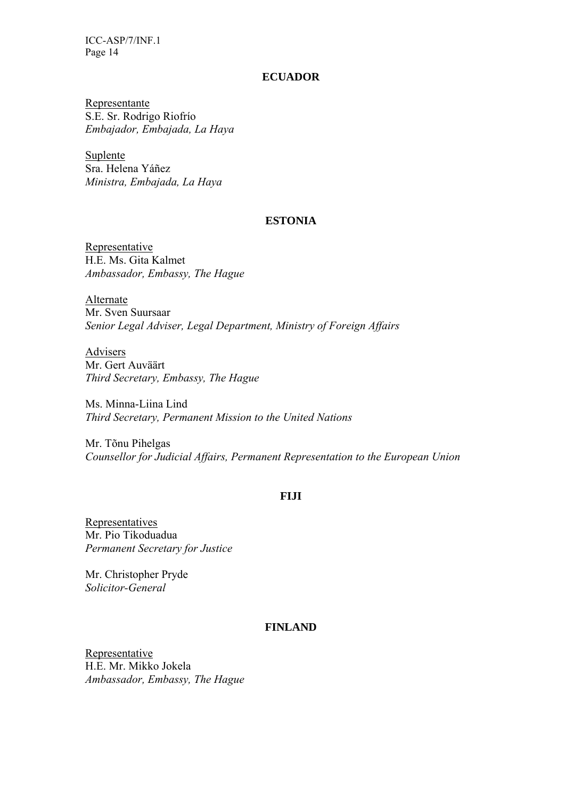#### **ECUADOR**

Representante S.E. Sr. Rodrigo Riofrío *Embajador, Embajada, La Haya* 

Suplente Sra. Helena Yáñez *Ministra, Embajada, La Haya* 

#### **ESTONIA**

Representative H.E. Ms. Gita Kalmet *Ambassador, Embassy, The Hague* 

Alternate Mr. Sven Suursaar *Senior Legal Adviser, Legal Department, Ministry of Foreign Affairs* 

Advisers Mr. Gert Auväärt *Third Secretary, Embassy, The Hague* 

Ms. Minna-Liina Lind *Third Secretary, Permanent Mission to the United Nations* 

Mr. Tõnu Pihelgas *Counsellor for Judicial Affairs, Permanent Representation to the European Union*

#### **FIJI**

**Representatives** Mr. Pio Tikoduadua *Permanent Secretary for Justice* 

Mr. Christopher Pryde *Solicitor-General* 

#### **FINLAND**

Representative H.E. Mr. Mikko Jokela *Ambassador, Embassy, The Hague*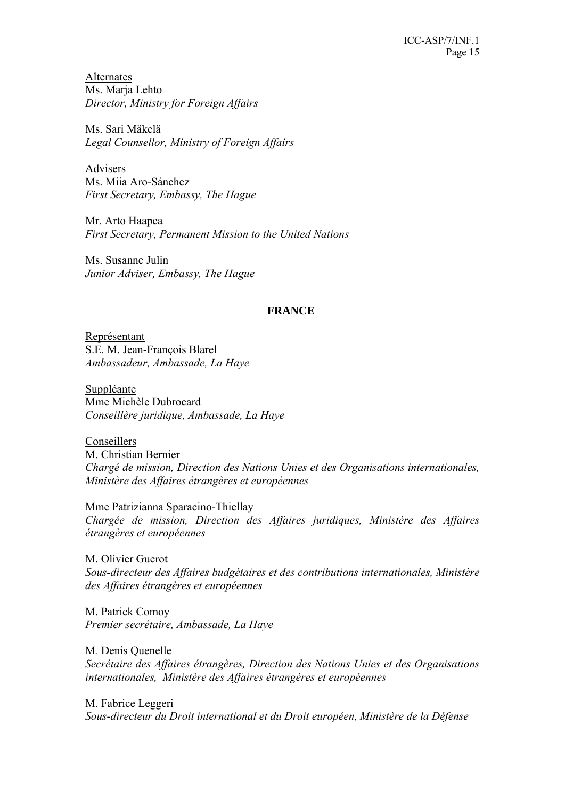Alternates Ms. Marja Lehto *Director, Ministry for Foreign Affairs* 

Ms. Sari Mäkelä *Legal Counsellor, Ministry of Foreign Affairs* 

Advisers Ms. Miia Aro-Sánchez *First Secretary, Embassy, The Hague* 

Mr. Arto Haapea *First Secretary, Permanent Mission to the United Nations* 

Ms. Susanne Julin *Junior Adviser, Embassy, The Hague* 

### **FRANCE**

Représentant S.E. M. Jean-François Blarel *Ambassadeur, Ambassade, La Haye* 

Suppléante Mme Michèle Dubrocard *Conseillère juridique, Ambassade, La Haye* 

Conseillers M. Christian Bernier *Chargé de mission, Direction des Nations Unies et des Organisations internationales, Ministère des Affaires étrangères et européennes* 

Mme Patrizianna Sparacino-Thiellay *Chargée de mission, Direction des Affaires juridiques, Ministère des Affaires étrangères et européennes* 

M. Olivier Guerot *Sous-directeur des Affaires budgétaires et des contributions internationales, Ministère des Affaires étrangères et européennes* 

M. Patrick Comoy *Premier secrétaire, Ambassade, La Haye* 

M*.* Denis Quenelle *Secrétaire des Affaires étrangères, Direction des Nations Unies et des Organisations internationales, Ministère des Affaires étrangères et européennes* 

M. Fabrice Leggeri *Sous-directeur du Droit international et du Droit européen, Ministère de la Défense*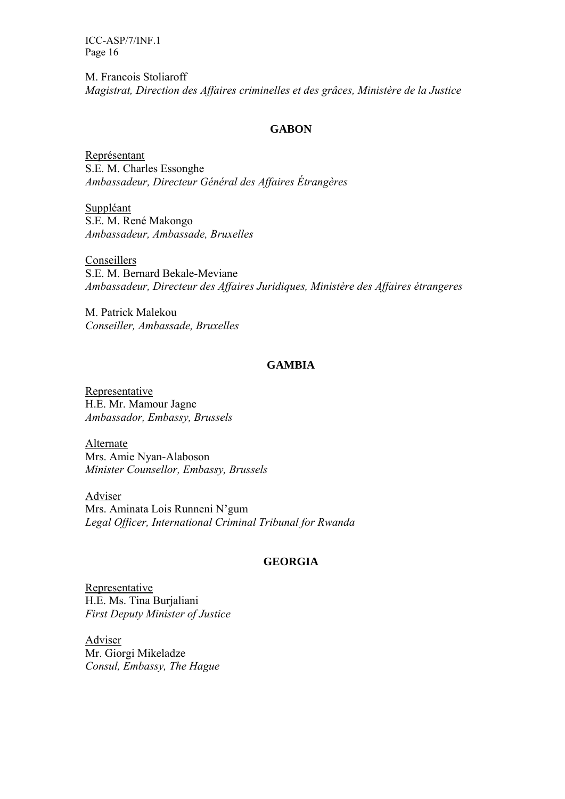M. Francois Stoliaroff *Magistrat, Direction des Affaires criminelles et des grâces, Ministère de la Justice* 

### **GABON**

Représentant S.E. M. Charles Essonghe *Ambassadeur, Directeur Général des Affaires Étrangères* 

Suppléant S.E. M. René Makongo *Ambassadeur, Ambassade, Bruxelles* 

Conseillers S.E. M. Bernard Bekale-Meviane *Ambassadeur, Directeur des Affaires Juridiques, Ministère des Affaires étrangeres* 

M. Patrick Malekou *Conseiller, Ambassade, Bruxelles* 

### **GAMBIA**

Representative H.E. Mr. Mamour Jagne *Ambassador, Embassy, Brussels* 

Alternate Mrs. Amie Nyan-Alaboson *Minister Counsellor, Embassy, Brussels* 

Adviser Mrs. Aminata Lois Runneni N'gum *Legal Officer, International Criminal Tribunal for Rwanda* 

# **GEORGIA**

Representative H.E. Ms. Tina Burjaliani *First Deputy Minister of Justice* 

Adviser Mr. Giorgi Mikeladze *Consul, Embassy, The Hague*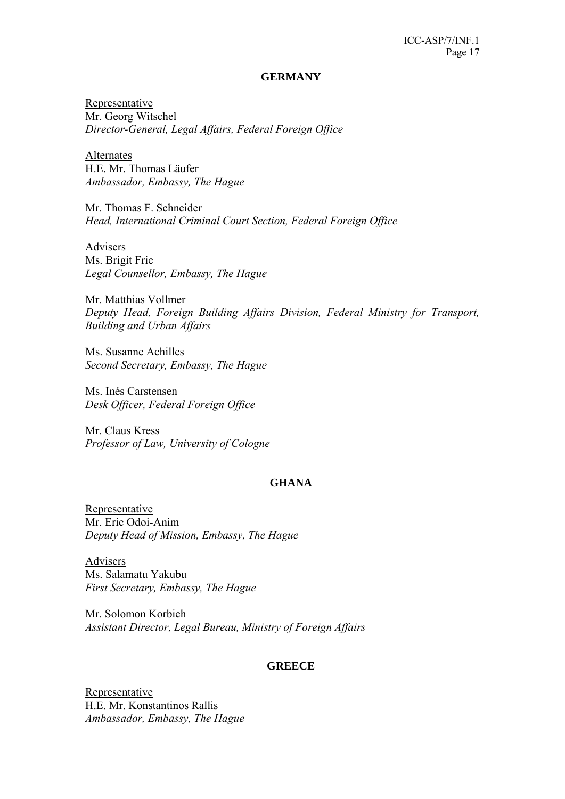#### **GERMANY**

Representative Mr. Georg Witschel *Director-General, Legal Affairs, Federal Foreign Office* 

Alternates H.E. Mr. Thomas Läufer *Ambassador, Embassy, The Hague* 

Mr. Thomas F. Schneider *Head, International Criminal Court Section, Federal Foreign Office* 

Advisers Ms. Brigit Frie *Legal Counsellor, Embassy, The Hague* 

Mr. Matthias Vollmer *Deputy Head, Foreign Building Affairs Division, Federal Ministry for Transport, Building and Urban Affairs* 

Ms. Susanne Achilles *Second Secretary, Embassy, The Hague* 

Ms. Inés Carstensen *Desk Officer, Federal Foreign Office* 

Mr. Claus Kress *Professor of Law, University of Cologne* 

# **GHANA**

Representative Mr. Eric Odoi-Anim *Deputy Head of Mission, Embassy, The Hague* 

Advisers Ms. Salamatu Yakubu *First Secretary, Embassy, The Hague* 

Mr. Solomon Korbieh *Assistant Director, Legal Bureau, Ministry of Foreign Affairs* 

#### **GREECE**

Representative H.E. Mr. Konstantinos Rallis *Ambassador, Embassy, The Hague*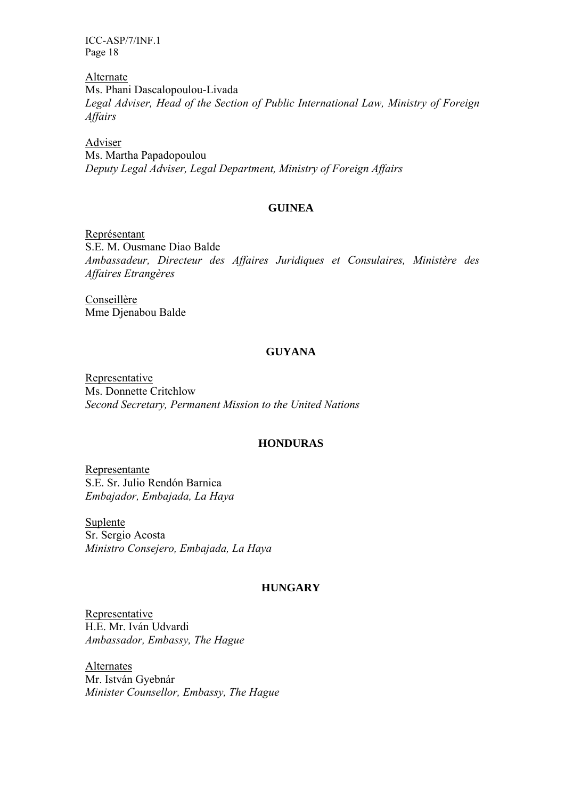Alternate Ms. Phani Dascalopoulou-Livada *Legal Adviser, Head of the Section of Public International Law, Ministry of Foreign Affairs* 

Adviser Ms. Martha Papadopoulou *Deputy Legal Adviser, Legal Department, Ministry of Foreign Affairs* 

### **GUINEA**

Représentant S.E. M. Ousmane Diao Balde *Ambassadeur, Directeur des Affaires Juridiques et Consulaires, Ministère des Affaires Etrangères* 

Conseillère Mme Djenabou Balde

# **GUYANA**

Representative Ms. Donnette Critchlow *Second Secretary, Permanent Mission to the United Nations* 

### **HONDURAS**

Representante S.E. Sr. Julio Rendón Barnica *Embajador, Embajada, La Haya* 

Suplente Sr. Sergio Acosta *Ministro Consejero, Embajada, La Haya* 

# **HUNGARY**

Representative H.E. Mr. Iván Udvardi *Ambassador, Embassy, The Hague* 

**Alternates** Mr. István Gyebnár *Minister Counsellor, Embassy, The Hague*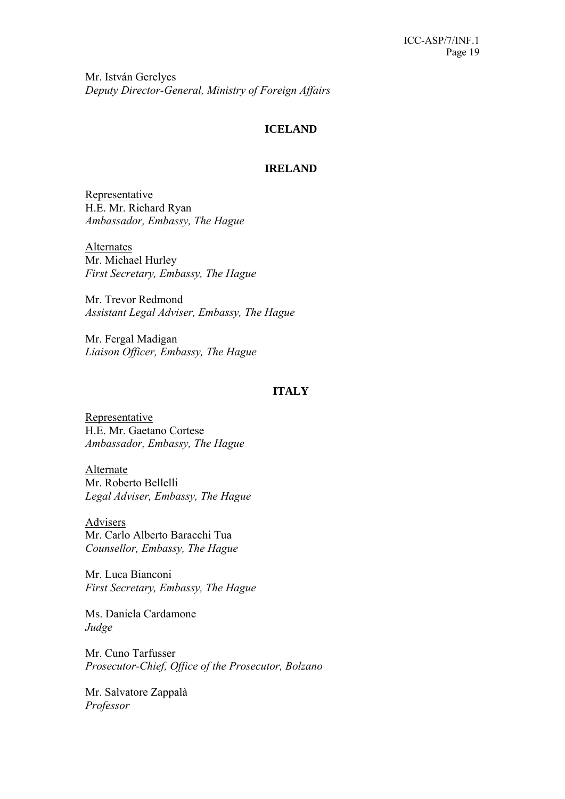Mr. István Gerelyes *Deputy Director-General, Ministry of Foreign Affairs* 

# **ICELAND**

### **IRELAND**

Representative H.E. Mr. Richard Ryan *Ambassador, Embassy, The Hague* 

Alternates Mr. Michael Hurley *First Secretary, Embassy, The Hague* 

Mr. Trevor Redmond *Assistant Legal Adviser, Embassy, The Hague* 

Mr. Fergal Madigan *Liaison Officer, Embassy, The Hague* 

# **ITALY**

Representative H.E. Mr. Gaetano Cortese *Ambassador, Embassy, The Hague* 

Alternate Mr. Roberto Bellelli *Legal Adviser, Embassy, The Hague* 

Advisers Mr. Carlo Alberto Baracchi Tua *Counsellor, Embassy, The Hague* 

Mr. Luca Bianconi *First Secretary, Embassy, The Hague* 

Ms. Daniela Cardamone *Judge* 

Mr. Cuno Tarfusser *Prosecutor-Chief, Office of the Prosecutor, Bolzano* 

Mr. Salvatore Zappalà *Professor*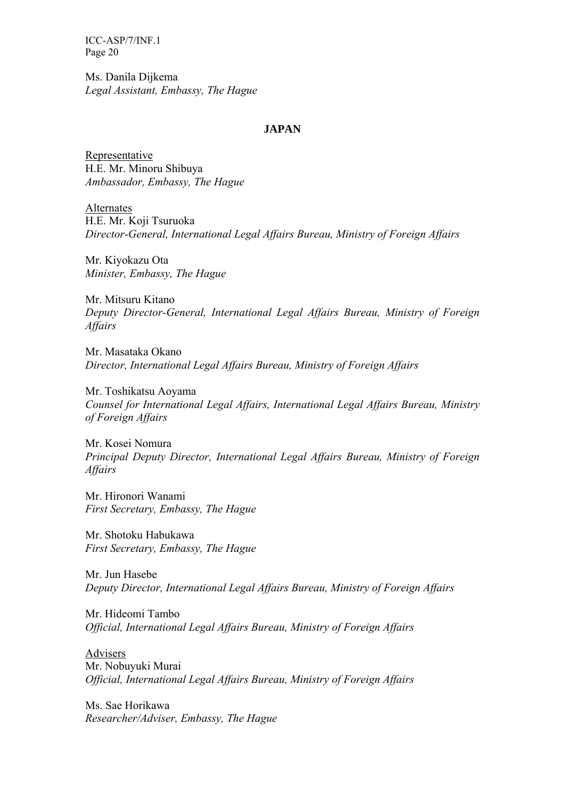Ms. Danila Dijkema *Legal Assistant, Embassy, The Hague* 

### **JAPAN**

Representative H.E. Mr. Minoru Shibuya *Ambassador, Embassy, The Hague* 

Alternates H.E. Mr. Koji Tsuruoka *Director-General, International Legal Affairs Bureau, Ministry of Foreign Affairs* 

Mr. Kiyokazu Ota *Minister, Embassy, The Hague* 

Mr. Mitsuru Kitano *Deputy Director-General, International Legal Affairs Bureau, Ministry of Foreign Affairs* 

Mr. Masataka Okano *Director, International Legal Affairs Bureau, Ministry of Foreign Affairs* 

Mr. Toshikatsu Aoyama *Counsel for International Legal Affairs, International Legal Affairs Bureau, Ministry of Foreign Affairs* 

Mr. Kosei Nomura *Principal Deputy Director, International Legal Affairs Bureau, Ministry of Foreign Affairs* 

Mr. Hironori Wanami *First Secretary, Embassy, The Hague* 

Mr. Shotoku Habukawa *First Secretary, Embassy, The Hague* 

Mr. Jun Hasebe *Deputy Director, International Legal Affairs Bureau, Ministry of Foreign Affairs* 

Mr. Hideomi Tambo *Official, International Legal Affairs Bureau, Ministry of Foreign Affairs* 

Advisers Mr. Nobuyuki Murai *Official, International Legal Affairs Bureau, Ministry of Foreign Affairs* 

Ms. Sae Horikawa *Researcher/Adviser, Embassy, The Hague*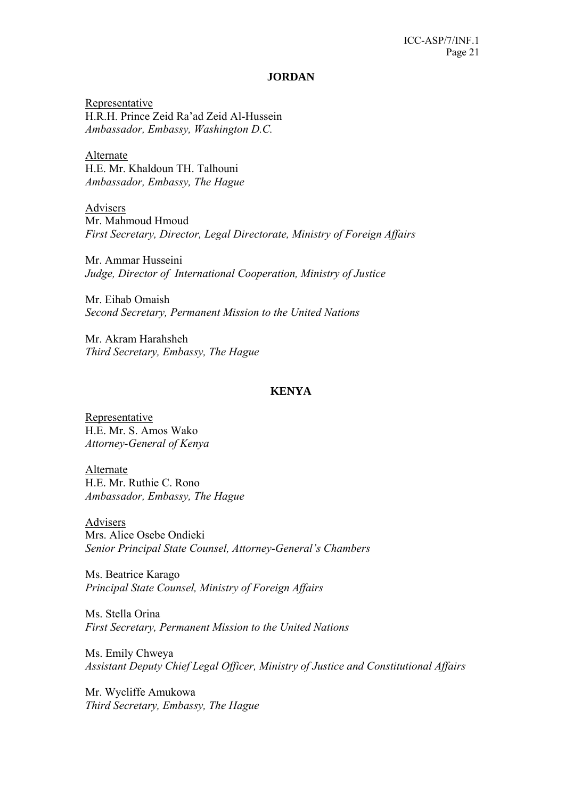#### **JORDAN**

Representative H.R.H. Prince Zeid Ra'ad Zeid Al-Hussein *Ambassador, Embassy, Washington D.C.* 

Alternate H.E. Mr. Khaldoun TH. Talhouni *Ambassador, Embassy, The Hague* 

Advisers Mr. Mahmoud Hmoud *First Secretary, Director, Legal Directorate, Ministry of Foreign Affairs* 

Mr. Ammar Husseini *Judge, Director of International Cooperation, Ministry of Justice* 

Mr. Eihab Omaish *Second Secretary, Permanent Mission to the United Nations* 

Mr. Akram Harahsheh *Third Secretary, Embassy, The Hague* 

# **KENYA**

Representative H.E. Mr. S. Amos Wako *Attorney-General of Kenya*

Alternate H.E. Mr. Ruthie C. Rono *Ambassador, Embassy, The Hague* 

Advisers Mrs. Alice Osebe Ondieki *Senior Principal State Counsel, Attorney-General's Chambers* 

Ms. Beatrice Karago *Principal State Counsel, Ministry of Foreign Affairs* 

Ms. Stella Orina *First Secretary, Permanent Mission to the United Nations* 

Ms. Emily Chweya *Assistant Deputy Chief Legal Officer, Ministry of Justice and Constitutional Affairs* 

Mr. Wycliffe Amukowa *Third Secretary, Embassy, The Hague*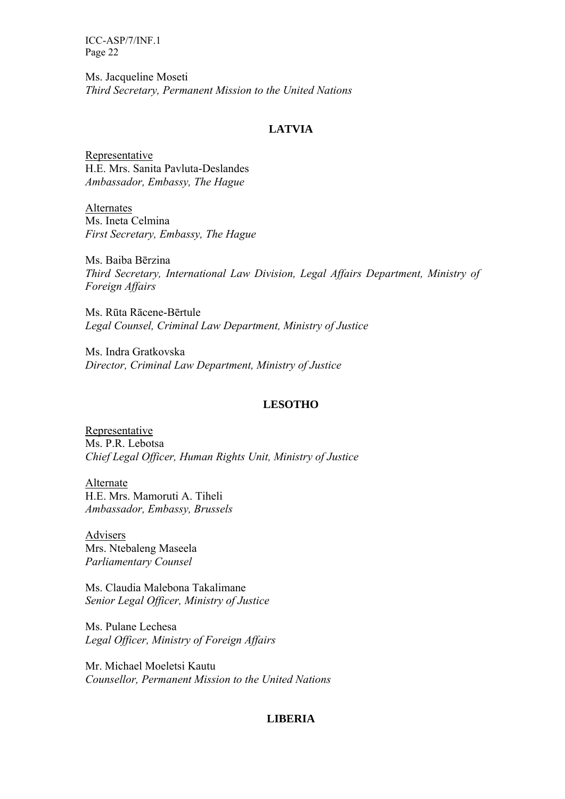Ms. Jacqueline Moseti *Third Secretary, Permanent Mission to the United Nations* 

# **LATVIA**

Representative H.E. Mrs. Sanita Pavluta-Deslandes *Ambassador, Embassy, The Hague* 

Alternates Ms. Ineta Celmina *First Secretary, Embassy, The Hague* 

Ms. Baiba Bērzina *Third Secretary, International Law Division, Legal Affairs Department, Ministry of Foreign Affairs* 

Ms. Rūta Rācene-Bērtule *Legal Counsel, Criminal Law Department, Ministry of Justice* 

Ms. Indra Gratkovska *Director, Criminal Law Department, Ministry of Justice* 

# **LESOTHO**

Representative Ms. P.R. Lebotsa *Chief Legal Officer, Human Rights Unit, Ministry of Justice* 

Alternate H.E. Mrs. Mamoruti A. Tiheli *Ambassador, Embassy, Brussels* 

Advisers Mrs. Ntebaleng Maseela *Parliamentary Counsel* 

Ms. Claudia Malebona Takalimane *Senior Legal Officer, Ministry of Justice* 

Ms. Pulane Lechesa *Legal Officer, Ministry of Foreign Affairs* 

Mr. Michael Moeletsi Kautu *Counsellor, Permanent Mission to the United Nations* 

# **LIBERIA**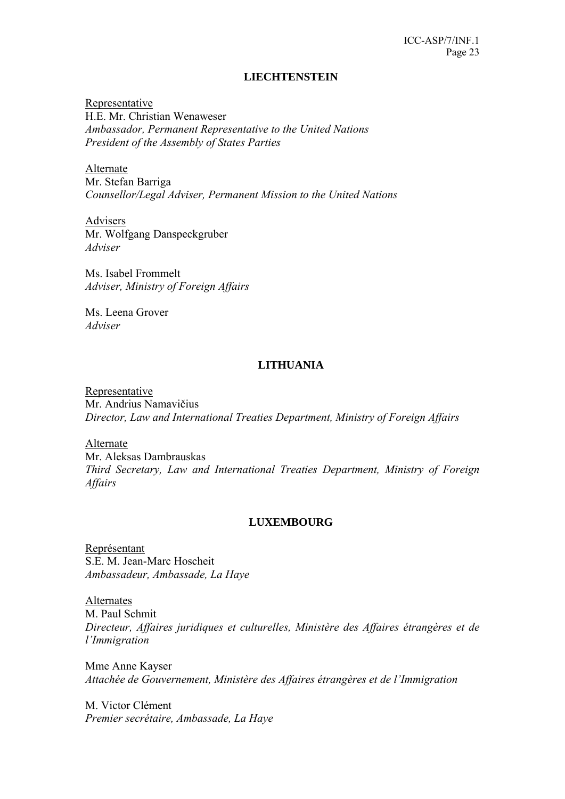### **LIECHTENSTEIN**

Representative H.E. Mr. Christian Wenaweser *Ambassador, Permanent Representative to the United Nations President of the Assembly of States Parties* 

Alternate Mr. Stefan Barriga *Counsellor/Legal Adviser, Permanent Mission to the United Nations* 

Advisers Mr. Wolfgang Danspeckgruber *Adviser* 

Ms. Isabel Frommelt *Adviser, Ministry of Foreign Affairs* 

Ms. Leena Grover *Adviser* 

# **LITHUANIA**

Representative Mr. Andrius Namavičius *Director, Law and International Treaties Department, Ministry of Foreign Affairs* 

Alternate Mr. Aleksas Dambrauskas *Third Secretary, Law and International Treaties Department, Ministry of Foreign Affairs* 

# **LUXEMBOURG**

Représentant S.E. M. Jean-Marc Hoscheit *Ambassadeur, Ambassade, La Haye* 

Alternates M. Paul Schmit *Directeur, Affaires juridiques et culturelles, Ministère des Affaires étrangères et de l'Immigration* 

Mme Anne Kayser *Attachée de Gouvernement, Ministère des Affaires étrangères et de l'Immigration* 

M. Victor Clément *Premier secrétaire, Ambassade, La Haye*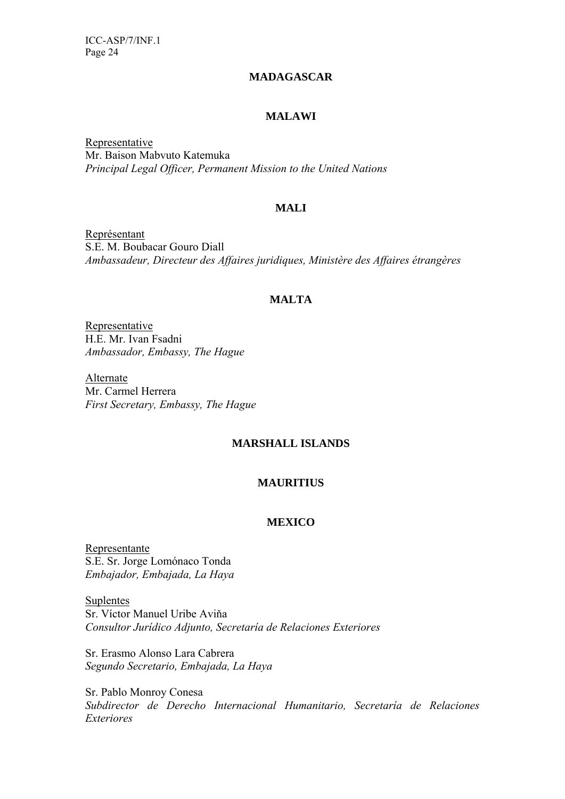# **MADAGASCAR**

# **MALAWI**

Representative Mr. Baison Mabvuto Katemuka *Principal Legal Officer, Permanent Mission to the United Nations* 

# **MALI**

Représentant S.E. M. Boubacar Gouro Diall *Ambassadeur, Directeur des Affaires juridiques, Ministère des Affaires étrangères*

# **MALTA**

Representative H.E. Mr. Ivan Fsadni *Ambassador, Embassy, The Hague* 

Alternate Mr. Carmel Herrera *First Secretary, Embassy, The Hague* 

# **MARSHALL ISLANDS**

# **MAURITIUS**

#### **MEXICO**

Representante S.E. Sr. Jorge Lomónaco Tonda *Embajador, Embajada, La Haya*

**Suplentes** Sr. Víctor Manuel Uribe Aviňa *Consultor Jurídico Adjunto, Secretaría de Relaciones Exteriores* 

Sr. Erasmo Alonso Lara Cabrera *Segundo Secretario, Embajada, La Haya* 

Sr. Pablo Monroy Conesa *Subdirector de Derecho Internacional Humanitario, Secretaría de Relaciones Exteriores*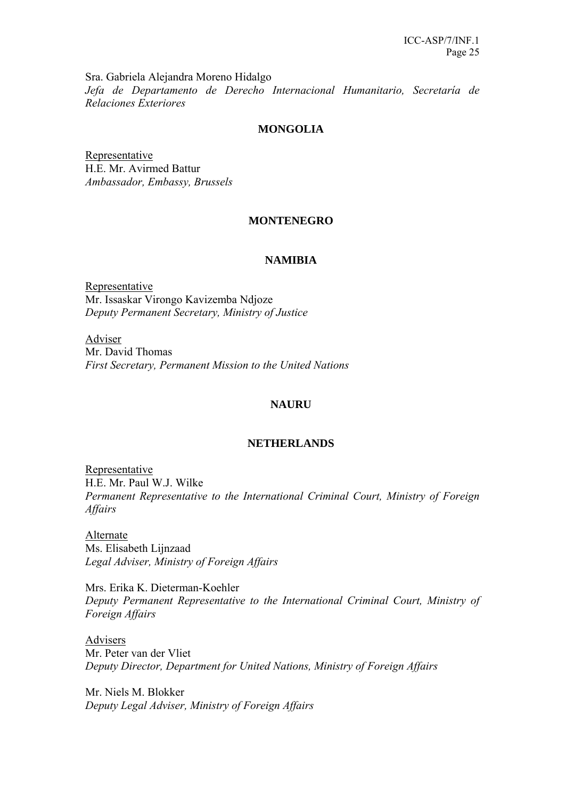Sra. Gabriela Alejandra Moreno Hidalgo *Jefa de Departamento de Derecho Internacional Humanitario, Secretaría de Relaciones Exteriores* 

# **MONGOLIA**

Representative H.E. Mr. Avirmed Battur *Ambassador, Embassy, Brussels* 

# **MONTENEGRO**

# **NAMIBIA**

Representative Mr. Issaskar Virongo Kavizemba Ndjoze *Deputy Permanent Secretary, Ministry of Justice* 

Adviser Mr. David Thomas *First Secretary, Permanent Mission to the United Nations* 

# **NAURU**

# **NETHERLANDS**

Representative H.E. Mr. Paul W.J. Wilke *Permanent Representative to the International Criminal Court, Ministry of Foreign Affairs* 

Alternate Ms. Elisabeth Lijnzaad *Legal Adviser, Ministry of Foreign Affairs* 

Mrs. Erika K. Dieterman-Koehler *Deputy Permanent Representative to the International Criminal Court, Ministry of Foreign Affairs* 

Advisers Mr. Peter van der Vliet *Deputy Director, Department for United Nations, Ministry of Foreign Affairs* 

Mr. Niels M. Blokker *Deputy Legal Adviser, Ministry of Foreign Affairs*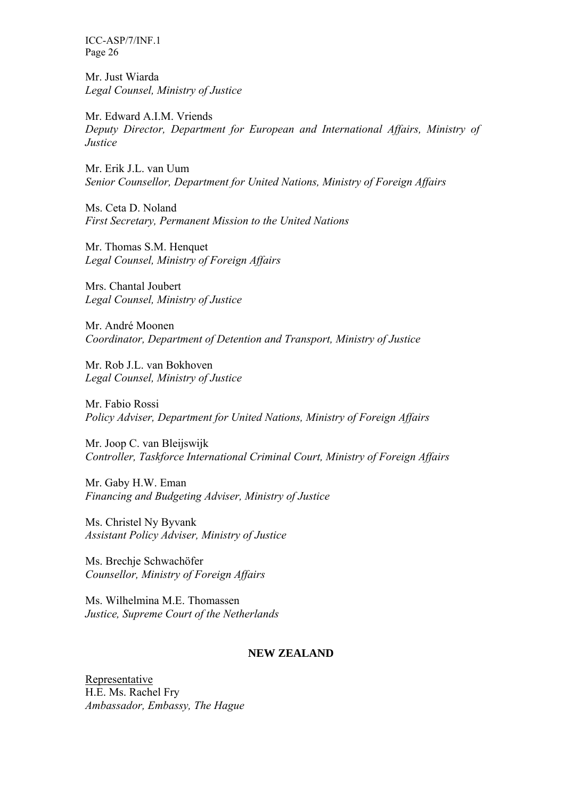Mr. Just Wiarda *Legal Counsel, Ministry of Justice* 

Mr. Edward A.I.M. Vriends *Deputy Director, Department for European and International Affairs, Ministry of Justice* 

Mr. Erik J.L. van Uum *Senior Counsellor, Department for United Nations, Ministry of Foreign Affairs* 

Ms. Ceta D. Noland *First Secretary, Permanent Mission to the United Nations* 

Mr. Thomas S.M. Henquet *Legal Counsel, Ministry of Foreign Affairs* 

Mrs. Chantal Joubert *Legal Counsel, Ministry of Justice* 

Mr. André Moonen *Coordinator, Department of Detention and Transport, Ministry of Justice* 

Mr. Rob J.L. van Bokhoven *Legal Counsel, Ministry of Justice* 

Mr. Fabio Rossi *Policy Adviser, Department for United Nations, Ministry of Foreign Affairs* 

Mr. Joop C. van Bleijswijk *Controller, Taskforce International Criminal Court, Ministry of Foreign Affairs* 

Mr. Gaby H.W. Eman *Financing and Budgeting Adviser, Ministry of Justice* 

Ms. Christel Ny Byvank *Assistant Policy Adviser, Ministry of Justice* 

Ms. Brechje Schwachöfer *Counsellor, Ministry of Foreign Affairs* 

Ms. Wilhelmina M.E. Thomassen *Justice, Supreme Court of the Netherlands* 

# **NEW ZEALAND**

Representative H.E. Ms. Rachel Fry *Ambassador, Embassy, The Hague*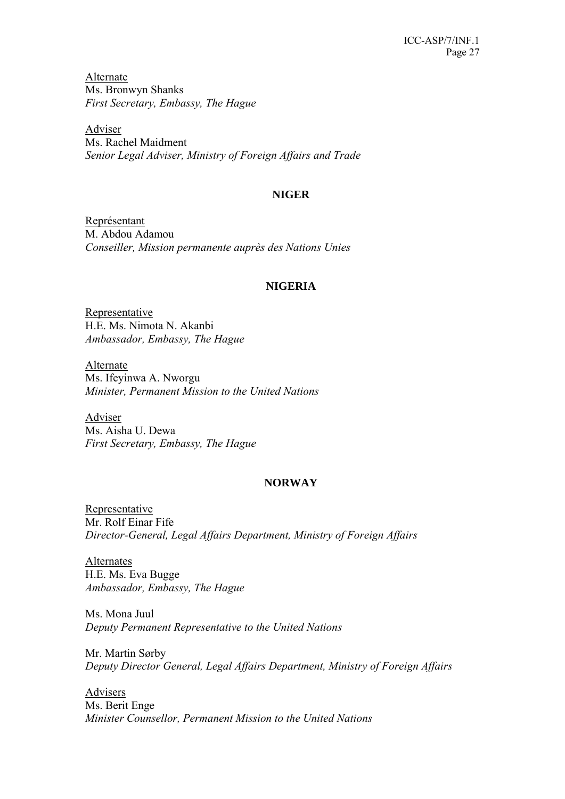Alternate Ms. Bronwyn Shanks *First Secretary, Embassy, The Hague* 

Adviser Ms. Rachel Maidment *Senior Legal Adviser, Ministry of Foreign Affairs and Trade* 

# **NIGER**

Représentant M. Abdou Adamou *Conseiller, Mission permanente auprès des Nations Unies* 

# **NIGERIA**

Representative H.E. Ms. Nimota N. Akanbi *Ambassador, Embassy, The Hague* 

Alternate Ms. Ifeyinwa A. Nworgu *Minister, Permanent Mission to the United Nations* 

Adviser Ms. Aisha U. Dewa *First Secretary, Embassy, The Hague* 

# **NORWAY**

Representative Mr. Rolf Einar Fife *Director-General, Legal Affairs Department, Ministry of Foreign Affairs* 

Alternates H.E. Ms. Eva Bugge *Ambassador, Embassy, The Hague* 

Ms. Mona Juul *Deputy Permanent Representative to the United Nations* 

Mr. Martin Sørby *Deputy Director General, Legal Affairs Department, Ministry of Foreign Affairs* 

Advisers Ms. Berit Enge *Minister Counsellor, Permanent Mission to the United Nations*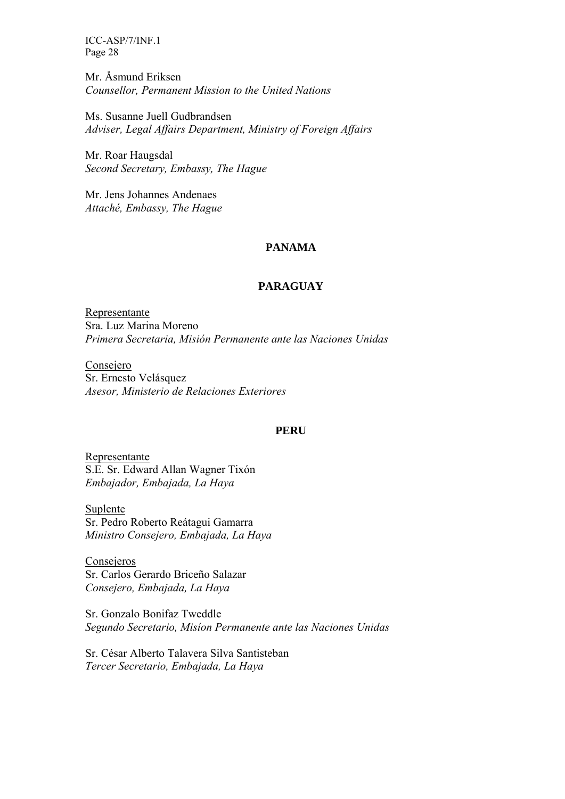Mr. Åsmund Eriksen *Counsellor, Permanent Mission to the United Nations* 

Ms. Susanne Juell Gudbrandsen *Adviser, Legal Affairs Department, Ministry of Foreign Affairs* 

Mr. Roar Haugsdal *Second Secretary, Embassy, The Hague* 

Mr. Jens Johannes Andenaes *Attaché, Embassy, The Hague* 

# **PANAMA**

# **PARAGUAY**

Representante Sra. Luz Marina Moreno *Primera Secretaria, Misión Permanente ante las Naciones Unidas* 

Consejero Sr. Ernesto Velásquez *Asesor, Ministerio de Relaciones Exteriores* 

#### **PERU**

Representante S.E. Sr. Edward Allan Wagner Tixón *Embajador, Embajada, La Haya* 

Suplente Sr. Pedro Roberto Reátagui Gamarra *Ministro Consejero, Embajada, La Haya* 

Consejeros Sr. Carlos Gerardo Briceño Salazar *Consejero, Embajada, La Haya* 

Sr. Gonzalo Bonifaz Tweddle *Segundo Secretario, Misíon Permanente ante las Naciones Unidas* 

Sr. César Alberto Talavera Silva Santisteban *Tercer Secretario, Embajada, La Haya*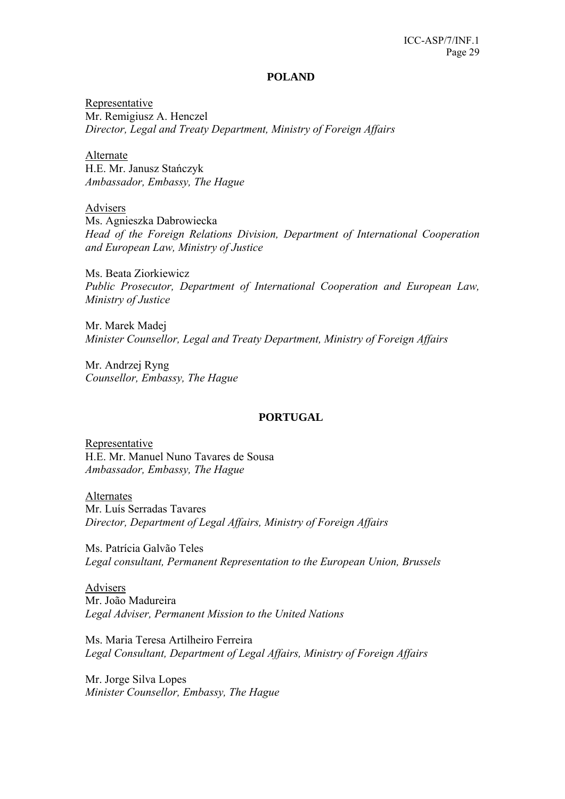#### **POLAND**

Representative Mr. Remigiusz A. Henczel *Director, Legal and Treaty Department, Ministry of Foreign Affairs* 

Alternate H.E. Mr. Janusz Stańczyk *Ambassador, Embassy, The Hague* 

Advisers

Ms. Agnieszka Dabrowiecka *Head of the Foreign Relations Division, Department of International Cooperation and European Law, Ministry of Justice* 

Ms. Beata Ziorkiewicz *Public Prosecutor, Department of International Cooperation and European Law, Ministry of Justice* 

Mr. Marek Madej *Minister Counsellor, Legal and Treaty Department, Ministry of Foreign Affairs* 

Mr. Andrzej Ryng *Counsellor, Embassy, The Hague* 

#### **PORTUGAL**

Representative H.E. Mr. Manuel Nuno Tavares de Sousa *Ambassador, Embassy, The Hague*

Alternates

Mr. Luís Serradas Tavares *Director, Department of Legal Affairs, Ministry of Foreign Affairs* 

Ms. Patrícia Galvão Teles *Legal consultant, Permanent Representation to the European Union, Brussels* 

Advisers Mr. João Madureira *Legal Adviser, Permanent Mission to the United Nations* 

Ms. Maria Teresa Artilheiro Ferreira *Legal Consultant, Department of Legal Affairs, Ministry of Foreign Affairs* 

Mr. Jorge Silva Lopes *Minister Counsellor, Embassy, The Hague*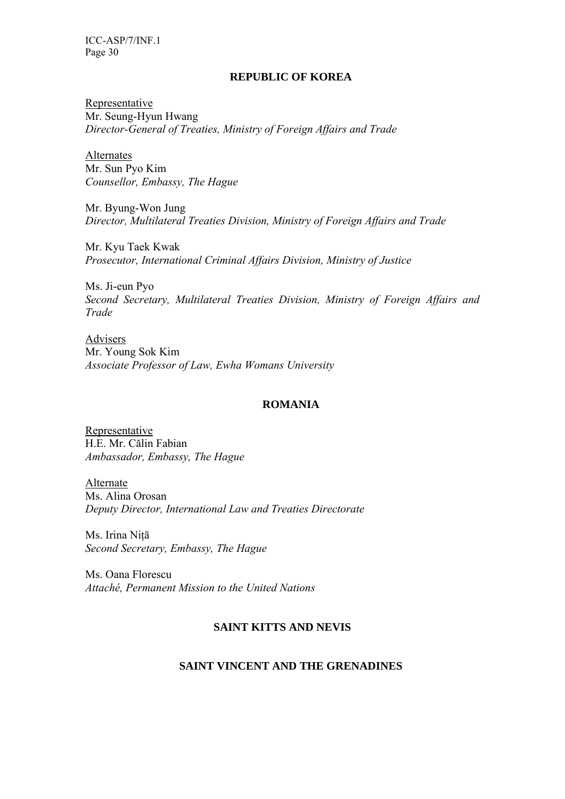### **REPUBLIC OF KOREA**

Representative Mr. Seung-Hyun Hwang *Director-General of Treaties, Ministry of Foreign Affairs and Trade* 

Alternates Mr. Sun Pyo Kim *Counsellor, Embassy, The Hague* 

Mr. Byung-Won Jung *Director, Multilateral Treaties Division, Ministry of Foreign Affairs and Trade* 

Mr. Kyu Taek Kwak *Prosecutor, International Criminal Affairs Division, Ministry of Justice* 

Ms. Ji-eun Pyo *Second Secretary, Multilateral Treaties Division, Ministry of Foreign Affairs and Trade* 

Advisers Mr. Young Sok Kim *Associate Professor of Law, Ewha Womans University* 

### **ROMANIA**

Representative H.E. Mr. Călin Fabian *Ambassador, Embassy, The Hague* 

Alternate Ms. Alina Orosan *Deputy Director, International Law and Treaties Directorate* 

Ms. Irina Niţā *Second Secretary, Embassy, The Hague* 

Ms. Oana Florescu *Attaché, Permanent Mission to the United Nations* 

# **SAINT KITTS AND NEVIS**

# **SAINT VINCENT AND THE GRENADINES**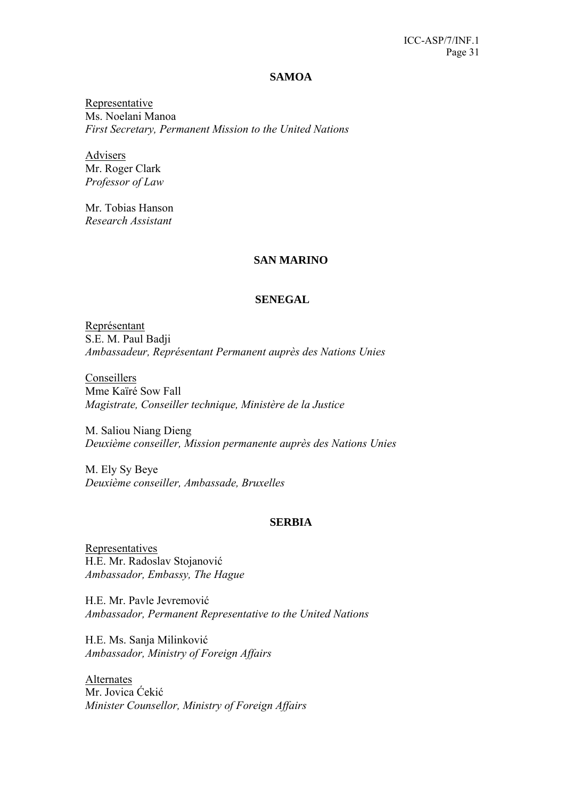#### **SAMOA**

Representative Ms. Noelani Manoa *First Secretary, Permanent Mission to the United Nations* 

Advisers Mr. Roger Clark *Professor of Law* 

Mr. Tobias Hanson *Research Assistant* 

### **SAN MARINO**

### **SENEGAL**

Représentant S.E. M. Paul Badji *Ambassadeur, Représentant Permanent auprès des Nations Unies* 

Conseillers Mme Kaïré Sow Fall *Magistrate, Conseiller technique, Ministère de la Justice* 

M. Saliou Niang Dieng *Deuxième conseiller, Mission permanente auprès des Nations Unies* 

M. Ely Sy Beye *Deuxième conseiller, Ambassade, Bruxelles* 

#### **SERBIA**

Representatives H.E. Mr. Radoslav Stojanović *Ambassador, Embassy, The Hague* 

H.E. Mr. Pavle Jevremović *Ambassador, Permanent Representative to the United Nations* 

H.E. Ms. Sanja Milinković *Ambassador, Ministry of Foreign Affairs* 

Alternates Mr. Jovica Ćekić *Minister Counsellor, Ministry of Foreign Affairs*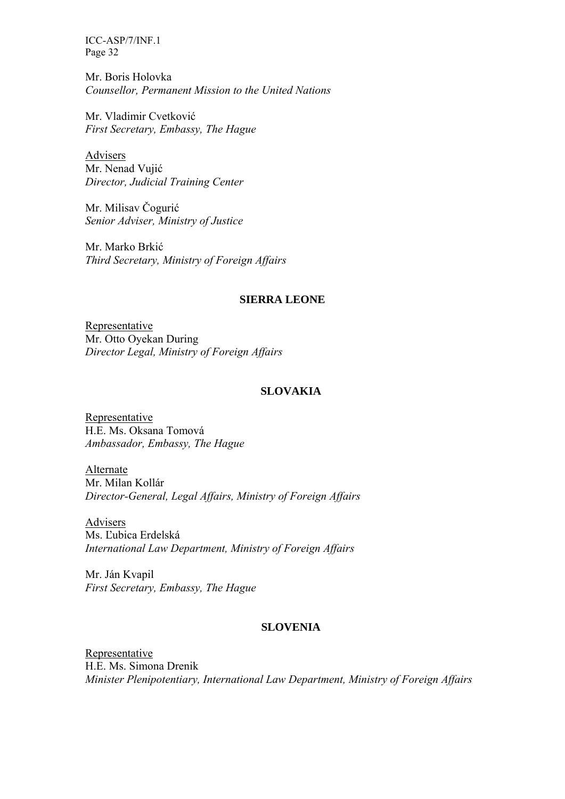Mr. Boris Holovka *Counsellor, Permanent Mission to the United Nations* 

Mr. Vladimir Cvetković *First Secretary, Embassy, The Hague* 

Advisers Mr. Nenad Vujić *Director, Judicial Training Center* 

Mr. Milisav Čogurić *Senior Adviser, Ministry of Justice* 

Mr. Marko Brkić *Third Secretary, Ministry of Foreign Affairs* 

# **SIERRA LEONE**

Representative Mr. Otto Oyekan During *Director Legal, Ministry of Foreign Affairs* 

# **SLOVAKIA**

Representative H.E. Ms. Oksana Tomová *Ambassador, Embassy, The Hague* 

Alternate Mr. Milan Kollár *Director-General, Legal Affairs, Ministry of Foreign Affairs* 

Advisers Ms. Ľubica Erdelská *International Law Department, Ministry of Foreign Affairs* 

Mr. Ján Kvapil *First Secretary, Embassy, The Hague* 

#### **SLOVENIA**

Representative H.E. Ms. Simona Drenik *Minister Plenipotentiary, International Law Department, Ministry of Foreign Affairs*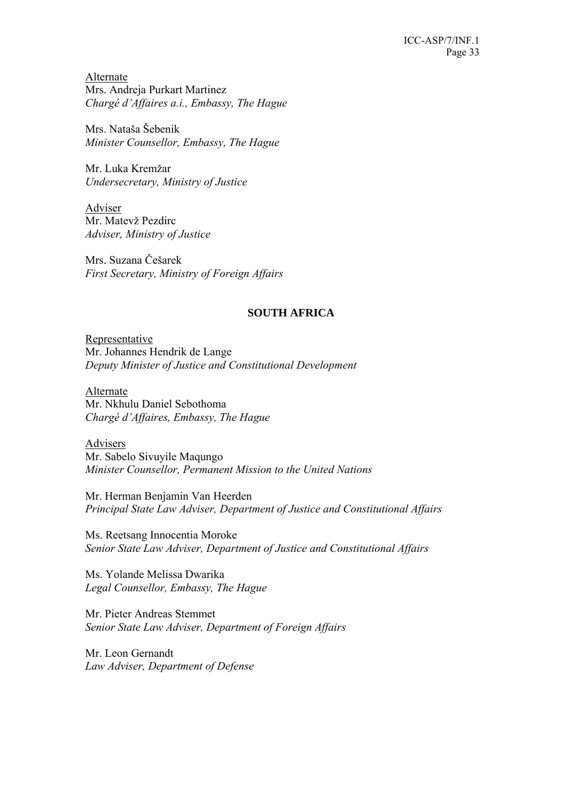Alternate Mrs. Andreja Purkart Martinez *Chargé d'Affaires a.i., Embassy, The Hague* 

Mrs. Nataša Šebenik *Minister Counsellor, Embassy, The Hague* 

Mr. Luka Kremžar *Undersecretary, Ministry of Justice* 

Adviser Mr. Matevž Pezdirc *Adviser, Ministry of Justice* 

Mrs. Suzana Češarek *First Secretary, Ministry of Foreign Affairs* 

# **SOUTH AFRICA**

Representative Mr. Johannes Hendrik de Lange *Deputy Minister of Justice and Constitutional Development* 

Alternate Mr. Nkhulu Daniel Sebothoma *Chargé d'Affaires, Embassy, The Hague* 

Advisers Mr. Sabelo Sivuyile Maqungo *Minister Counsellor, Permanent Mission to the United Nations* 

Mr. Herman Benjamin Van Heerden *Principal State Law Adviser, Department of Justice and Constitutional Affairs* 

Ms. Reetsang Innocentia Moroke *Senior State Law Adviser, Department of Justice and Constitutional Affairs* 

Ms. Yolande Melissa Dwarika *Legal Counsellor, Embassy, The Hague* 

Mr. Pieter Andreas Stemmet *Senior State Law Adviser, Department of Foreign Affairs* 

Mr. Leon Gernandt *Law Adviser, Department of Defense*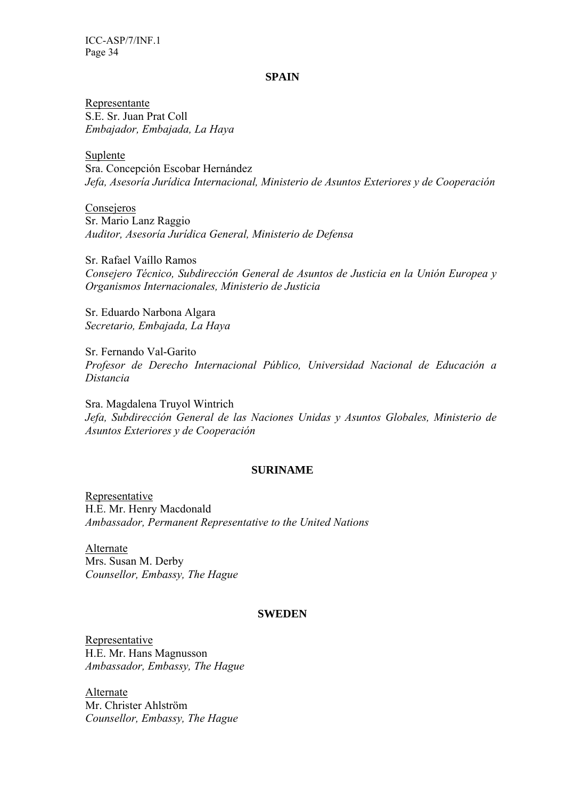#### **SPAIN**

Representante S.E. Sr. Juan Prat Coll *Embajador, Embajada, La Haya* 

Suplente Sra. Concepción Escobar Hernández *Jefa, Asesoría Jurídica Internacional, Ministerio de Asuntos Exteriores y de Cooperación* 

Consejeros Sr. Mario Lanz Raggio *Auditor, Asesoría Jurídica General, Ministerio de Defensa* 

Sr. Rafael Vaíllo Ramos *Consejero Técnico, Subdirección General de Asuntos de Justicia en la Unión Europea y Organismos Internacionales, Ministerio de Justicia* 

Sr. Eduardo Narbona Algara *Secretario, Embajada, La Haya* 

Sr. Fernando Val-Garito *Profesor de Derecho Internacional Público, Universidad Nacional de Educación a Distancia* 

Sra. Magdalena Truyol Wintrich *Jefa, Subdirección General de las Naciones Unidas y Asuntos Globales, Ministerio de Asuntos Exteriores y de Cooperación* 

#### **SURINAME**

Representative H.E. Mr. Henry Macdonald *Ambassador, Permanent Representative to the United Nations* 

Alternate Mrs. Susan M. Derby *Counsellor, Embassy, The Hague* 

### **SWEDEN**

Representative H.E. Mr. Hans Magnusson *Ambassador, Embassy, The Hague* 

Alternate Mr. Christer Ahlström *Counsellor, Embassy, The Hague*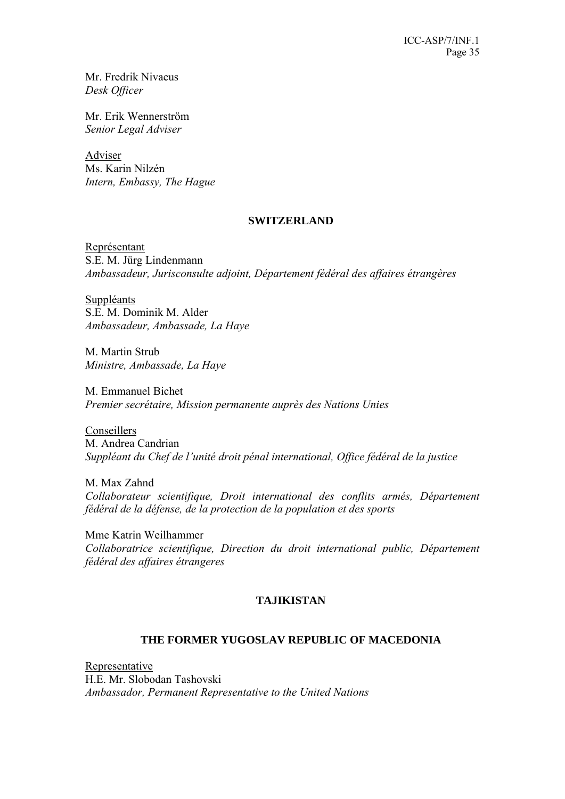Mr. Fredrik Nivaeus *Desk Officer* 

Mr. Erik Wennerström *Senior Legal Adviser* 

Adviser Ms. Karin Nilzén *Intern, Embassy, The Hague* 

### **SWITZERLAND**

Représentant S.E. M. Jürg Lindenmann *Ambassadeur, Jurisconsulte adjoint, Département fédéral des affaires étrangères* 

Suppléants S.E. M. Dominik M. Alder *Ambassadeur, Ambassade, La Haye* 

M. Martin Strub *Ministre, Ambassade, La Haye* 

M. Emmanuel Bichet *Premier secrétaire, Mission permanente auprès des Nations Unies* 

Conseillers M. Andrea Candrian *Suppléant du Chef de l'unité droit pénal international, Office fédéral de la justice* 

M. Max Zahnd *Collaborateur scientifique, Droit international des conflits armés, Département fédéral de la défense, de la protection de la population et des sports* 

Mme Katrin Weilhammer *Collaboratrice scientifique, Direction du droit international public, Département fédéral des affaires étrangeres* 

# **TAJIKISTAN**

# **THE FORMER YUGOSLAV REPUBLIC OF MACEDONIA**

Representative H.E. Mr. Slobodan Tashovski *Ambassador, Permanent Representative to the United Nations*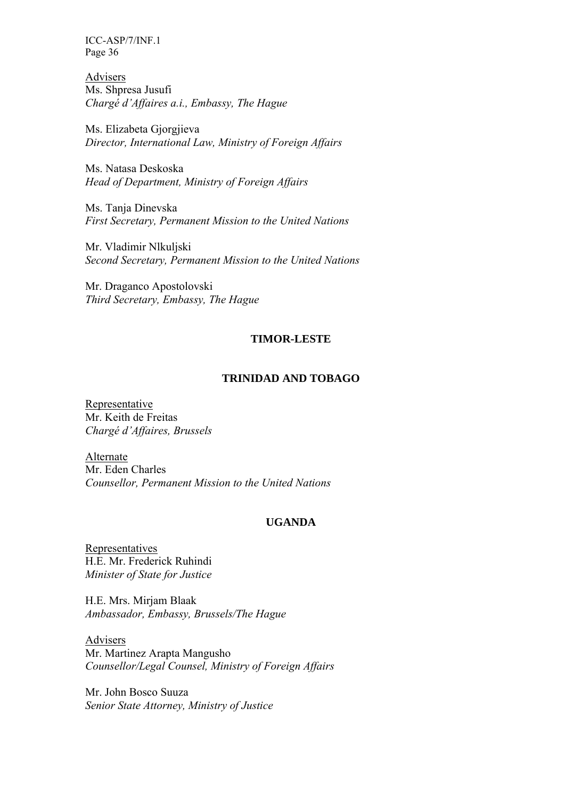Advisers Ms. Shpresa Jusufi *Chargé d'Affaires a.i., Embassy, The Hague* 

Ms. Elizabeta Gjorgjieva *Director, International Law, Ministry of Foreign Affairs* 

Ms. Natasa Deskoska *Head of Department, Ministry of Foreign Affairs* 

Ms. Tanja Dinevska *First Secretary, Permanent Mission to the United Nations* 

Mr. Vladimir Nlkuljski *Second Secretary, Permanent Mission to the United Nations* 

Mr. Draganco Apostolovski *Third Secretary, Embassy, The Hague* 

# **TIMOR-LESTE**

### **TRINIDAD AND TOBAGO**

Representative Mr. Keith de Freitas *Chargé d'Affaires, Brussels* 

Alternate Mr. Eden Charles *Counsellor, Permanent Mission to the United Nations* 

#### **UGANDA**

Representatives H.E. Mr. Frederick Ruhindi *Minister of State for Justice* 

H.E. Mrs. Mirjam Blaak *Ambassador, Embassy, Brussels/The Hague* 

Advisers Mr. Martinez Arapta Mangusho *Counsellor/Legal Counsel, Ministry of Foreign Affairs* 

Mr. John Bosco Suuza *Senior State Attorney, Ministry of Justice*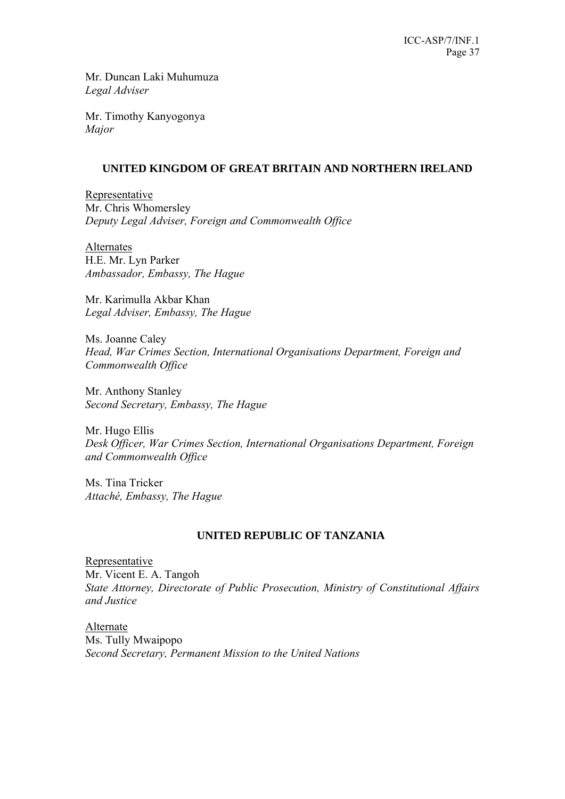Mr. Duncan Laki Muhumuza *Legal Adviser* 

Mr. Timothy Kanyogonya *Major* 

# **UNITED KINGDOM OF GREAT BRITAIN AND NORTHERN IRELAND**

Representative Mr. Chris Whomersley *Deputy Legal Adviser, Foreign and Commonwealth Office* 

Alternates H.E. Mr. Lyn Parker *Ambassador, Embassy, The Hague* 

Mr. Karimulla Akbar Khan *Legal Adviser, Embassy, The Hague* 

Ms. Joanne Caley *Head, War Crimes Section, International Organisations Department, Foreign and Commonwealth Office* 

Mr. Anthony Stanley *Second Secretary, Embassy, The Hague* 

Mr. Hugo Ellis *Desk Officer, War Crimes Section, International Organisations Department, Foreign and Commonwealth Office* 

Ms. Tina Tricker *Attaché, Embassy, The Hague* 

# **UNITED REPUBLIC OF TANZANIA**

Representative Mr. Vicent E. A. Tangoh *State Attorney, Directorate of Public Prosecution, Ministry of Constitutional Affairs and Justice* 

Alternate Ms. Tully Mwaipopo *Second Secretary, Permanent Mission to the United Nations*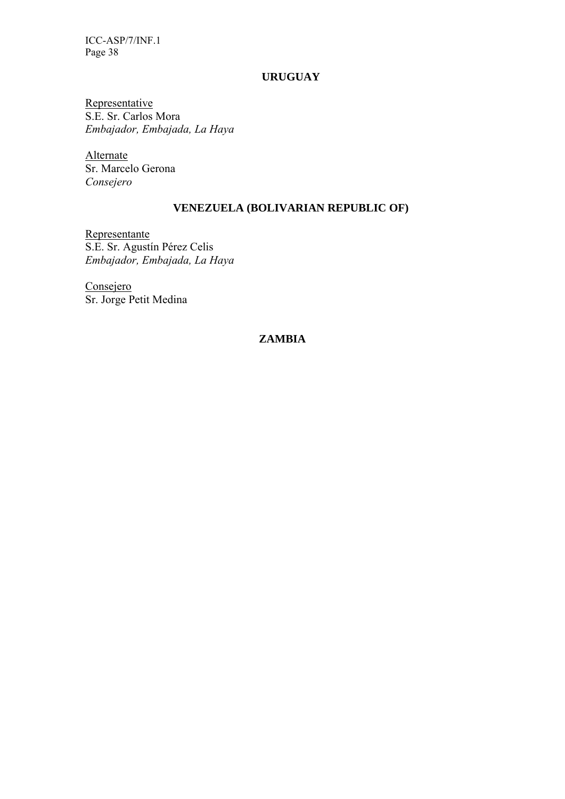### **URUGUAY**

Representative S.E. Sr. Carlos Mora *Embajador, Embajada, La Haya* 

Alternate Sr. Marcelo Gerona *Consejero* 

# **VENEZUELA (BOLIVARIAN REPUBLIC OF)**

Representante S.E. Sr. Agustín Pérez Celis *Embajador, Embajada, La Haya* 

Consejero Sr. Jorge Petit Medina

# **ZAMBIA**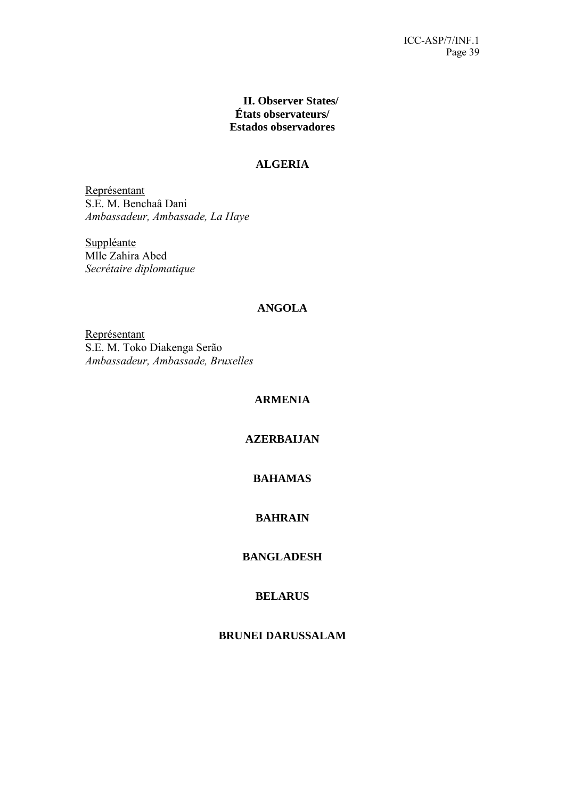# **II. Observer States/ États observateurs/ Estados observadores**

# **ALGERIA**

Représentant S.E. M. Benchaâ Dani *Ambassadeur, Ambassade, La Haye* 

Suppléante Mlle Zahira Abed *Secrétaire diplomatique*

# **ANGOLA**

Représentant S.E. M. Toko Diakenga Serão *Ambassadeur, Ambassade, Bruxelles* 

# **ARMENIA**

# **AZERBAIJAN**

# **BAHAMAS**

# **BAHRAIN**

# **BANGLADESH**

# **BELARUS**

# **BRUNEI DARUSSALAM**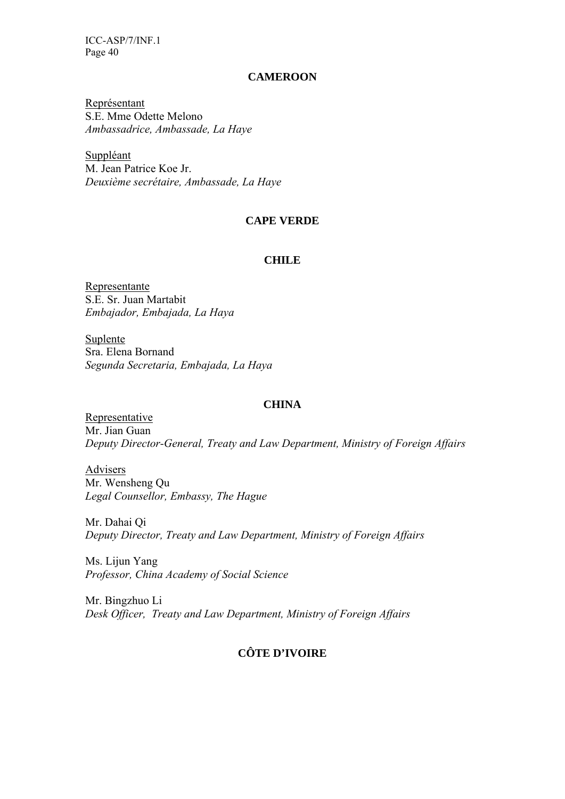#### **CAMEROON**

Représentant S.E. Mme Odette Melono *Ambassadrice, Ambassade, La Haye* 

Suppléant M. Jean Patrice Koe Jr. *Deuxième secrétaire, Ambassade, La Haye*

### **CAPE VERDE**

#### **CHILE**

Representante S.E. Sr. Juan Martabit *Embajador, Embajada, La Haya* 

Suplente Sra. Elena Bornand *Segunda Secretaria, Embajada, La Haya*

### **CHINA**

Representative Mr. Jian Guan *Deputy Director-General, Treaty and Law Department, Ministry of Foreign Affairs* 

Advisers Mr. Wensheng Qu *Legal Counsellor, Embassy, The Hague* 

Mr. Dahai Qi *Deputy Director, Treaty and Law Department, Ministry of Foreign Affairs* 

Ms. Lijun Yang *Professor, China Academy of Social Science*

Mr. Bingzhuo Li *Desk Officer, Treaty and Law Department, Ministry of Foreign Affairs* 

# **CÔTE D'IVOIRE**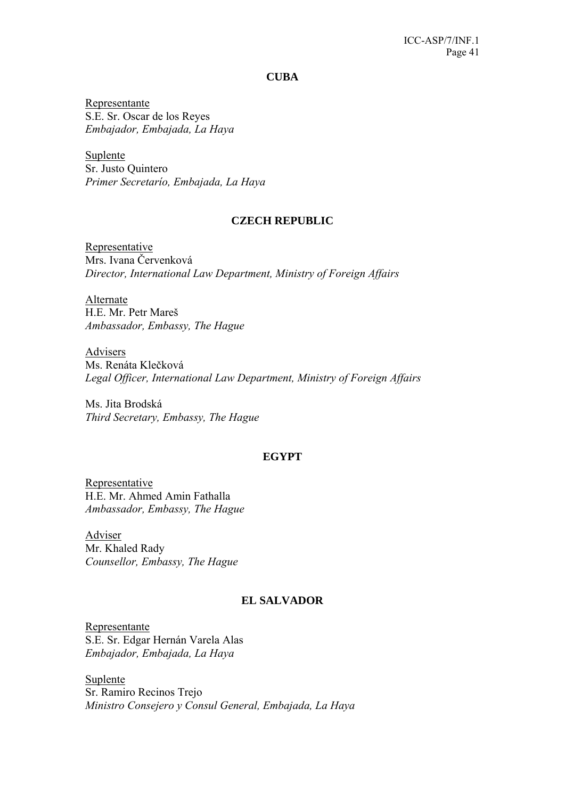**CUBA** 

Representante S.E. Sr. Oscar de los Reyes *Embajador, Embajada, La Haya* 

Suplente Sr. Justo Quintero *Primer Secretarío, Embajada, La Haya* 

#### **CZECH REPUBLIC**

Representative Mrs. Ivana Červenková *Director, International Law Department, Ministry of Foreign Affairs* 

Alternate H.E. Mr. Petr Mareš *Ambassador, Embassy, The Hague* 

Advisers Ms. Renáta Klečková *Legal Officer, International Law Department, Ministry of Foreign Affairs* 

Ms. Jita Brodská *Third Secretary, Embassy, The Hague*

### **EGYPT**

Representative H.E. Mr. Ahmed Amin Fathalla *Ambassador, Embassy, The Hague* 

Adviser Mr. Khaled Rady *Counsellor, Embassy, The Hague* 

### **EL SALVADOR**

Representante S.E. Sr. Edgar Hernán Varela Alas *Embajador, Embajada, La Haya* 

Suplente Sr. Ramiro Recinos Trejo *Ministro Consejero y Consul General, Embajada, La Haya*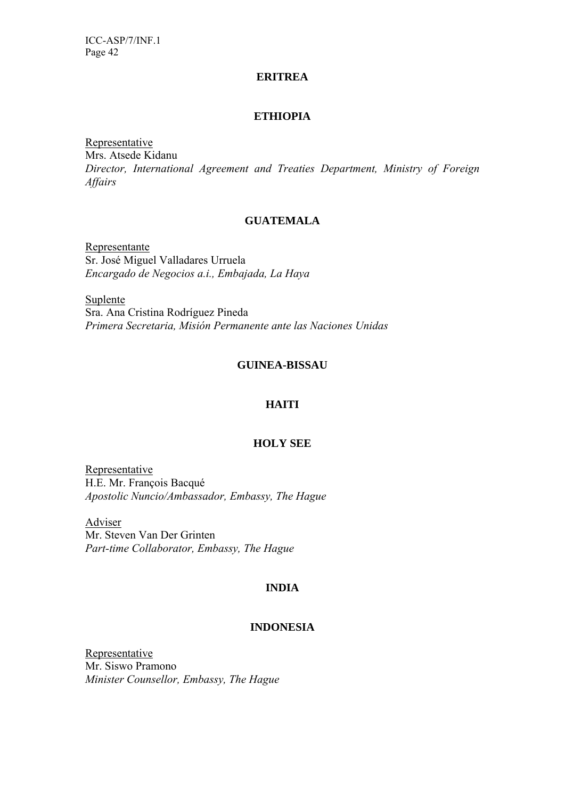#### **ERITREA**

### **ETHIOPIA**

Representative Mrs. Atsede Kidanu *Director, International Agreement and Treaties Department, Ministry of Foreign Affairs* 

#### **GUATEMALA**

Representante Sr. José Miguel Valladares Urruela *Encargado de Negocios a.i., Embajada, La Haya* 

Suplente Sra. Ana Cristina Rodríguez Pineda *Primera Secretaria, Misión Permanente ante las Naciones Unidas* 

### **GUINEA-BISSAU**

### **HAITI**

#### **HOLY SEE**

**Representative** H.E. Mr. François Bacqué *Apostolic Nuncio/Ambassador, Embassy, The Hague* 

Adviser Mr. Steven Van Der Grinten *Part-time Collaborator, Embassy, The Hague* 

# **INDIA**

#### **INDONESIA**

Representative Mr. Siswo Pramono *Minister Counsellor, Embassy, The Hague*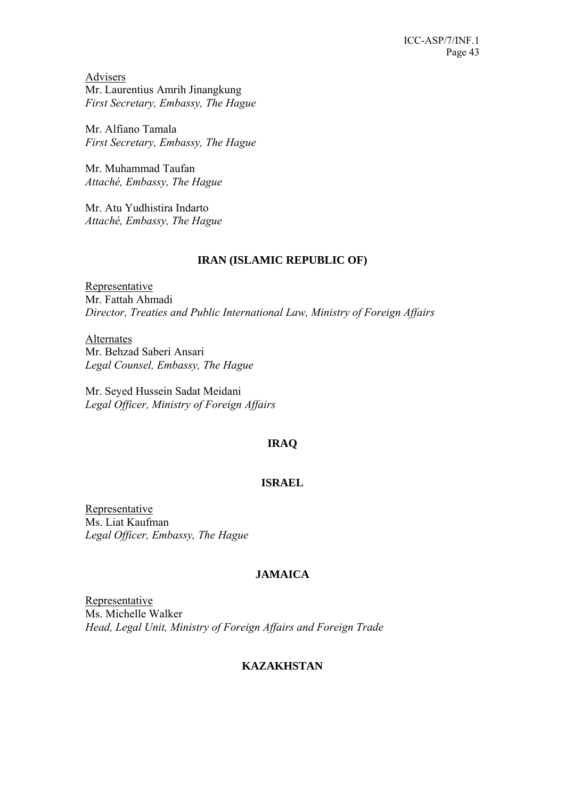Advisers Mr. Laurentius Amrih Jinangkung *First Secretary, Embassy, The Hague* 

Mr. Alfiano Tamala *First Secretary, Embassy, The Hague* 

Mr. Muhammad Taufan *Attaché, Embassy, The Hague* 

Mr. Atu Yudhistira Indarto *Attaché, Embassy, The Hague* 

# **IRAN (ISLAMIC REPUBLIC OF)**

Representative Mr. Fattah Ahmadi *Director, Treaties and Public International Law, Ministry of Foreign Affairs* 

Alternates Mr. Behzad Saberi Ansari *Legal Counsel, Embassy, The Hague* 

Mr. Seyed Hussein Sadat Meidani *Legal Officer, Ministry of Foreign Affairs* 

# **IRAQ**

# **ISRAEL**

Representative Ms. Liat Kaufman *Legal Officer, Embassy, The Hague* 

# **JAMAICA**

Representative Ms. Michelle Walker *Head, Legal Unit, Ministry of Foreign Affairs and Foreign Trade* 

# **KAZAKHSTAN**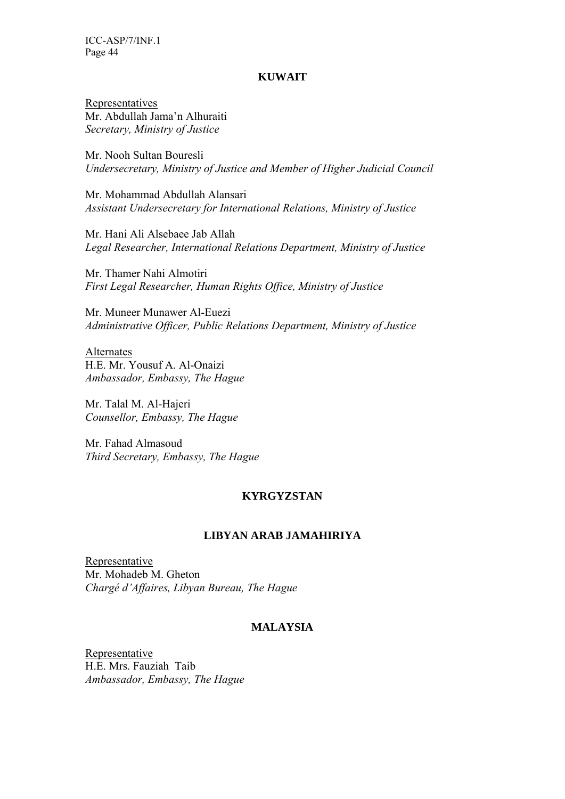#### **KUWAIT**

Representatives Mr. Abdullah Jama'n Alhuraiti *Secretary, Ministry of Justice* 

Mr. Nooh Sultan Bouresli *Undersecretary, Ministry of Justice and Member of Higher Judicial Council* 

Mr. Mohammad Abdullah Alansari *Assistant Undersecretary for International Relations, Ministry of Justice* 

Mr. Hani Ali Alsebaee Jab Allah *Legal Researcher, International Relations Department, Ministry of Justice* 

Mr. Thamer Nahi Almotiri *First Legal Researcher, Human Rights Office, Ministry of Justice* 

Mr. Muneer Munawer Al-Euezi *Administrative Officer, Public Relations Department, Ministry of Justice* 

Alternates H.E. Mr. Yousuf A. Al-Onaizi *Ambassador, Embassy, The Hague* 

Mr. Talal M. Al-Hajeri *Counsellor, Embassy, The Hague* 

Mr. Fahad Almasoud *Third Secretary, Embassy, The Hague* 

### **KYRGYZSTAN**

### **LIBYAN ARAB JAMAHIRIYA**

Representative Mr. Mohadeb M. Gheton *Chargé d'Affaires, Libyan Bureau, The Hague*

# **MALAYSIA**

Representative H.E. Mrs. Fauziah Taib *Ambassador, Embassy, The Hague*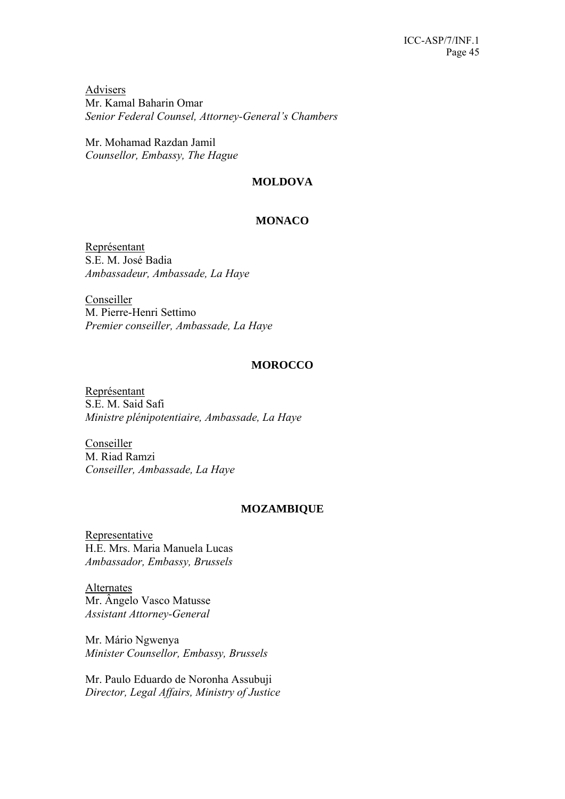Advisers Mr. Kamal Baharin Omar *Senior Federal Counsel, Attorney-General's Chambers* 

Mr. Mohamad Razdan Jamil *Counsellor, Embassy, The Hague* 

# **MOLDOVA**

# **MONACO**

Représentant S.E. M. José Badia *Ambassadeur, Ambassade, La Haye* 

Conseiller M. Pierre-Henri Settimo *Premier conseiller, Ambassade, La Haye* 

# **MOROCCO**

Représentant S.E. M. Said Safi *Ministre plénipotentiaire, Ambassade, La Haye* 

Conseiller M. Riad Ramzi *Conseiller, Ambassade, La Haye* 

# **MOZAMBIQUE**

Representative H.E. Mrs. Maria Manuela Lucas *Ambassador, Embassy, Brussels* 

Alternates Mr. Ângelo Vasco Matusse *Assistant Attorney-General* 

Mr. Mário Ngwenya *Minister Counsellor, Embassy, Brussels* 

Mr. Paulo Eduardo de Noronha Assubuji *Director, Legal Affairs, Ministry of Justice*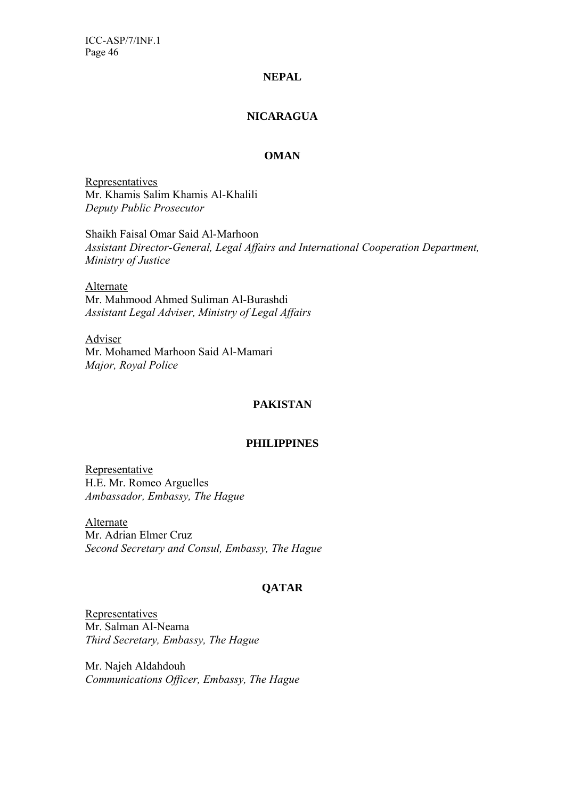# **NEPAL**

# **NICARAGUA**

# **OMAN**

**Representatives** Mr. Khamis Salim Khamis Al-Khalili *Deputy Public Prosecutor* 

Shaikh Faisal Omar Said Al-Marhoon *Assistant Director-General, Legal Affairs and International Cooperation Department, Ministry of Justice* 

Alternate Mr. Mahmood Ahmed Suliman Al-Burashdi *Assistant Legal Adviser, Ministry of Legal Affairs* 

Adviser Mr. Mohamed Marhoon Said Al-Mamari *Major, Royal Police* 

# **PAKISTAN**

#### **PHILIPPINES**

**Representative** H.E. Mr. Romeo Arguelles *Ambassador, Embassy, The Hague* 

Alternate Mr. Adrian Elmer Cruz *Second Secretary and Consul, Embassy, The Hague* 

# **QATAR**

Representatives Mr. Salman Al-Neama *Third Secretary, Embassy, The Hague* 

Mr. Najeh Aldahdouh *Communications Officer, Embassy, The Hague*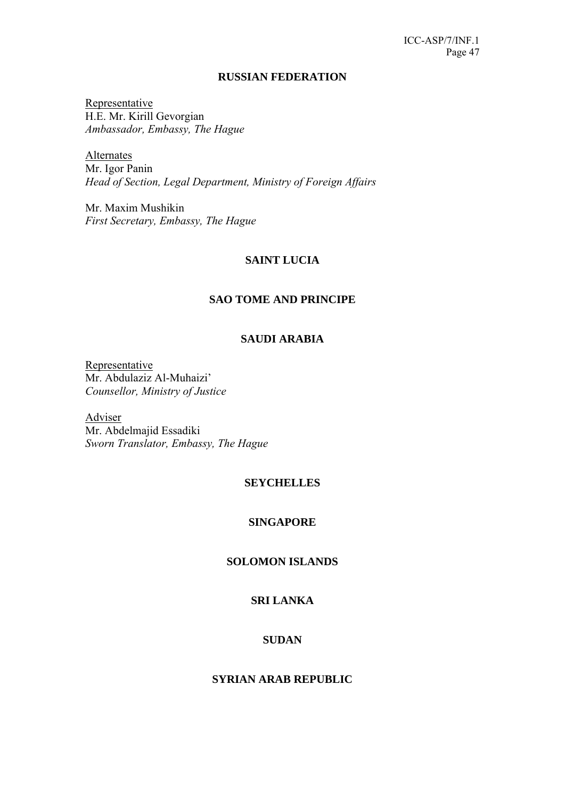#### **RUSSIAN FEDERATION**

Representative H.E. Mr. Kirill Gevorgian *Ambassador, Embassy, The Hague* 

Alternates Mr. Igor Panin *Head of Section, Legal Department, Ministry of Foreign Affairs* 

Mr. Maxim Mushikin *First Secretary, Embassy, The Hague* 

# **SAINT LUCIA**

# **SAO TOME AND PRINCIPE**

# **SAUDI ARABIA**

Representative Mr. Abdulaziz Al-Muhaizi' *Counsellor, Ministry of Justice* 

Adviser Mr. Abdelmajid Essadiki *Sworn Translator, Embassy, The Hague* 

# **SEYCHELLES**

#### **SINGAPORE**

### **SOLOMON ISLANDS**

# **SRI LANKA**

# **SUDAN**

# **SYRIAN ARAB REPUBLIC**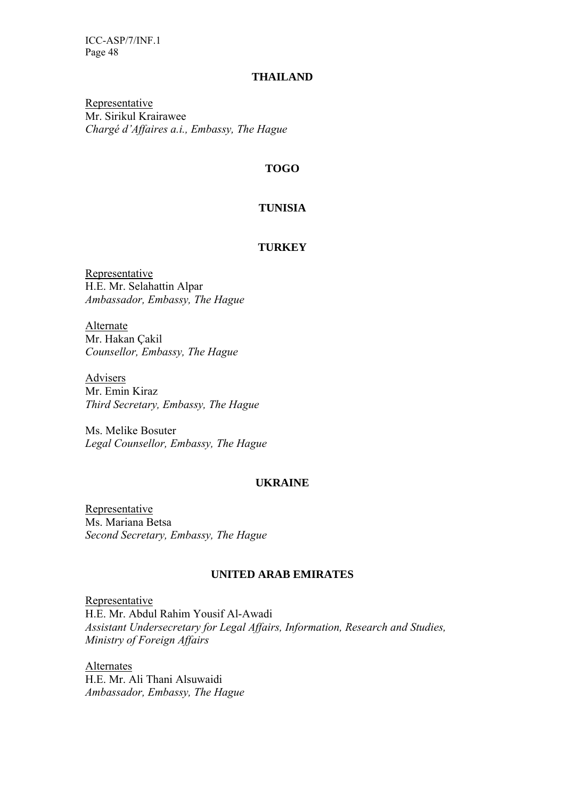# **THAILAND**

Representative Mr. Sirikul Krairawee *Chargé d'Affaires a.i., Embassy, The Hague* 

# **TOGO**

# **TUNISIA**

### **TURKEY**

Representative H.E. Mr. Selahattin Alpar *Ambassador, Embassy, The Hague* 

Alternate Mr. Hakan Çakil *Counsellor, Embassy, The Hague* 

Advisers Mr. Emin Kiraz *Third Secretary, Embassy, The Hague* 

Ms. Melike Bosuter *Legal Counsellor, Embassy, The Hague* 

# **UKRAINE**

Representative Ms. Mariana Betsa *Second Secretary, Embassy, The Hague* 

# **UNITED ARAB EMIRATES**

Representative H.E. Mr. Abdul Rahim Yousif Al-Awadi *Assistant Undersecretary for Legal Affairs, Information, Research and Studies, Ministry of Foreign Affairs* 

**Alternates** H.E. Mr. Ali Thani Alsuwaidi *Ambassador, Embassy, The Hague*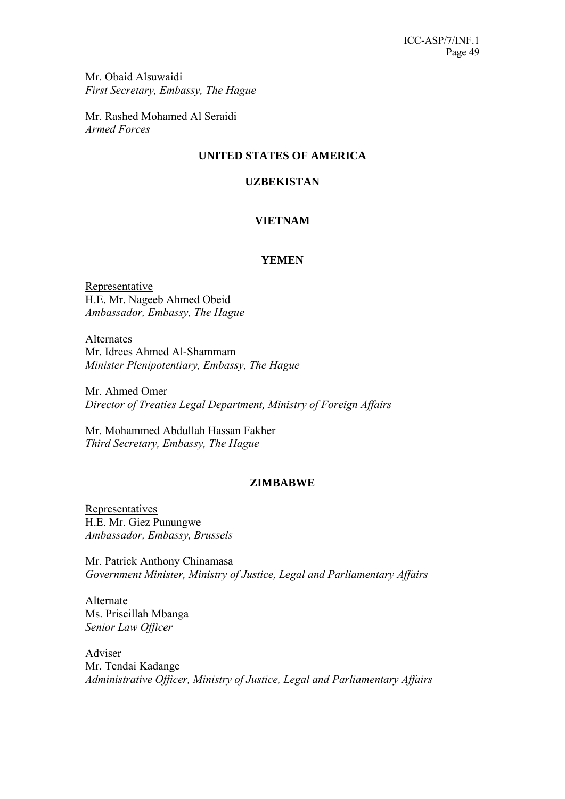Mr. Obaid Alsuwaidi *First Secretary, Embassy, The Hague* 

Mr. Rashed Mohamed Al Seraidi *Armed Forces* 

# **UNITED STATES OF AMERICA**

# **UZBEKISTAN**

# **VIETNAM**

# **YEMEN**

Representative H.E. Mr. Nageeb Ahmed Obeid *Ambassador, Embassy, The Hague* 

Alternates Mr. Idrees Ahmed Al-Shammam *Minister Plenipotentiary, Embassy, The Hague* 

Mr. Ahmed Omer *Director of Treaties Legal Department, Ministry of Foreign Affairs* 

Mr. Mohammed Abdullah Hassan Fakher *Third Secretary, Embassy, The Hague* 

# **ZIMBABWE**

Representatives H.E. Mr. Giez Punungwe *Ambassador, Embassy, Brussels* 

Mr. Patrick Anthony Chinamasa *Government Minister, Ministry of Justice, Legal and Parliamentary Affairs* 

Alternate Ms. Priscillah Mbanga *Senior Law Officer* 

Adviser Mr. Tendai Kadange *Administrative Officer, Ministry of Justice, Legal and Parliamentary Affairs*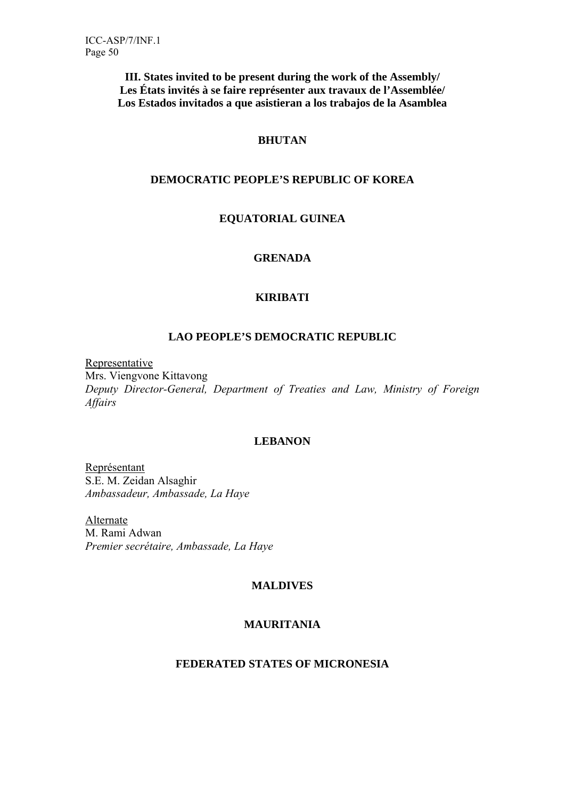**III. States invited to be present during the work of the Assembly/ Les États invités à se faire représenter aux travaux de l'Assemblée/ Los Estados invitados a que asistieran a los trabajos de la Asamblea** 

# **BHUTAN**

# **DEMOCRATIC PEOPLE'S REPUBLIC OF KOREA**

# **EQUATORIAL GUINEA**

# **GRENADA**

# **KIRIBATI**

# **LAO PEOPLE'S DEMOCRATIC REPUBLIC**

**Representative** 

Mrs. Viengvone Kittavong *Deputy Director-General, Department of Treaties and Law, Ministry of Foreign Affairs*

# **LEBANON**

Représentant S.E. M. Zeidan Alsaghir *Ambassadeur, Ambassade, La Haye* 

**Alternate** M. Rami Adwan *Premier secrétaire, Ambassade, La Haye* 

# **MALDIVES**

# **MAURITANIA**

# **FEDERATED STATES OF MICRONESIA**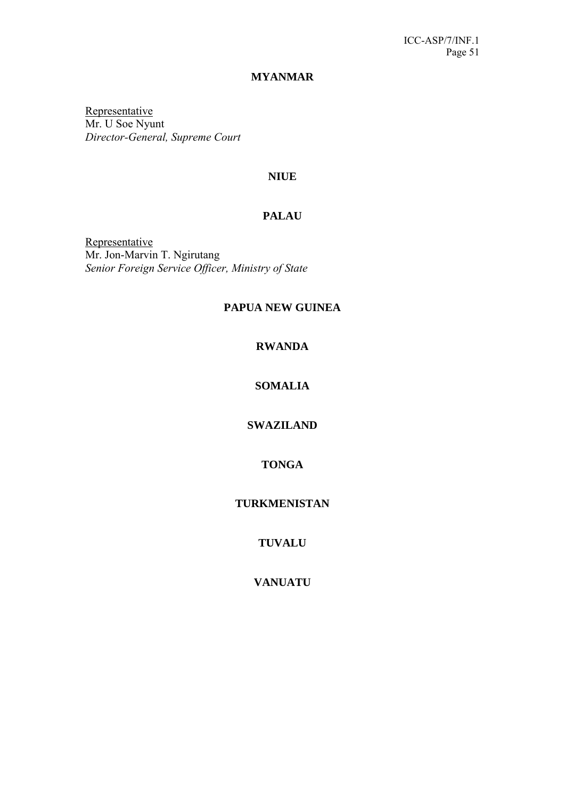### **MYANMAR**

Representative Mr. U Soe Nyunt *Director-General, Supreme Court* 

# **NIUE**

# **PALAU**

**Representative** Mr. Jon-Marvin T. Ngirutang *Senior Foreign Service Officer, Ministry of State* 

# **PAPUA NEW GUINEA**

# **RWANDA**

# **SOMALIA**

# **SWAZILAND**

# **TONGA**

# **TURKMENISTAN**

# **TUVALU**

# **VANUATU**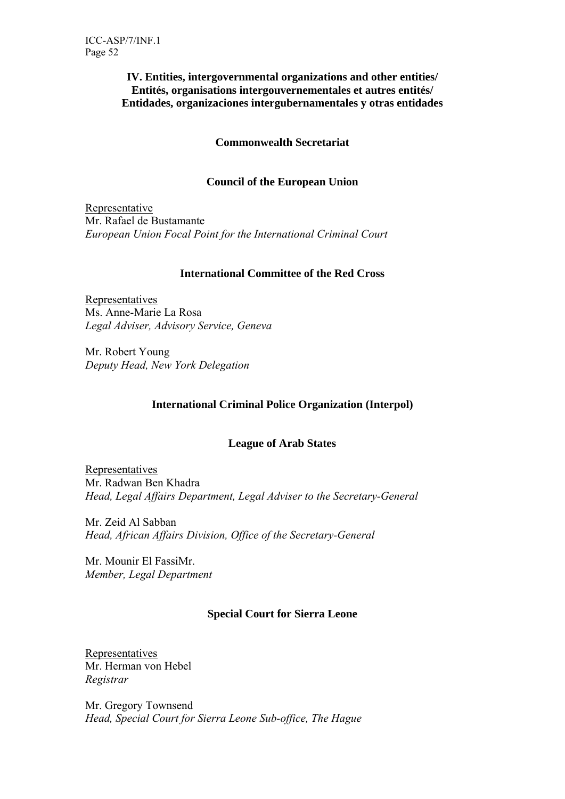# **IV. Entities, intergovernmental organizations and other entities/ Entités, organisations intergouvernementales et autres entités/ Entidades, organizaciones intergubernamentales y otras entidades**

# **Commonwealth Secretariat**

# **Council of the European Union**

Representative Mr. Rafael de Bustamante *European Union Focal Point for the International Criminal Court* 

# **International Committee of the Red Cross**

Representatives Ms. Anne-Marie La Rosa *Legal Adviser, Advisory Service, Geneva* 

Mr. Robert Young *Deputy Head, New York Delegation* 

# **International Criminal Police Organization (Interpol)**

# **League of Arab States**

Representatives Mr. Radwan Ben Khadra *Head, Legal Affairs Department, Legal Adviser to the Secretary-General*

Mr. Zeid Al Sabban *Head, African Affairs Division, Office of the Secretary-General*

Mr. Mounir El FassiMr. *Member, Legal Department*

# **Special Court for Sierra Leone**

Representatives Mr. Herman von Hebel *Registrar* 

Mr. Gregory Townsend *Head, Special Court for Sierra Leone Sub-office, The Hague*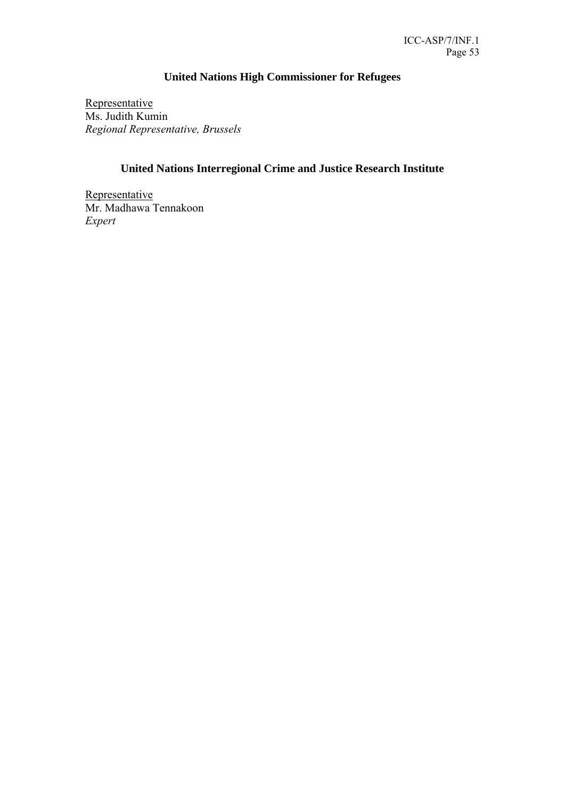# **United Nations High Commissioner for Refugees**

Representative Ms. Judith Kumin *Regional Representative, Brussels* 

# **United Nations Interregional Crime and Justice Research Institute**

**Representative** Mr. Madhawa Tennakoon *Expert*